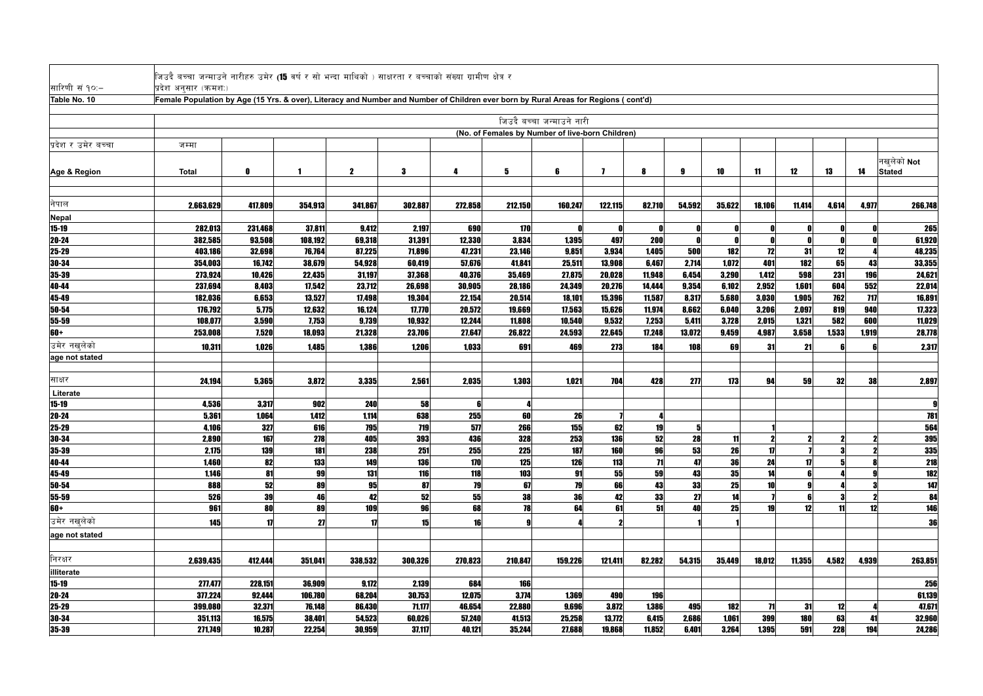| सारिणी सं १०:–      | जिउदै बच्चा जन्माउने नारीहरु उमेर <b>(15</b> वर्ष र सो भन्दा माथिको ) साक्षरता र बच्चाको संख्या ग्रामीण क्षेत्र र<br>प्रदेश अनुसार (कमश:) |                 |                  |                  |                  |                  |                                                  |                           |                  |                       |                |                |                 |              |            |            |                             |
|---------------------|-------------------------------------------------------------------------------------------------------------------------------------------|-----------------|------------------|------------------|------------------|------------------|--------------------------------------------------|---------------------------|------------------|-----------------------|----------------|----------------|-----------------|--------------|------------|------------|-----------------------------|
| Table No. 10        | Female Population by Age (15 Yrs. & over), Literacy and Number and Number of Children ever born by Rural Areas for Regions (cont'd)       |                 |                  |                  |                  |                  |                                                  |                           |                  |                       |                |                |                 |              |            |            |                             |
|                     |                                                                                                                                           |                 |                  |                  |                  |                  |                                                  | जिउदै बच्चा जन्माउने नारी |                  |                       |                |                |                 |              |            |            |                             |
|                     |                                                                                                                                           |                 |                  |                  |                  |                  | (No. of Females by Number of live-born Children) |                           |                  |                       |                |                |                 |              |            |            |                             |
| प्रदेश र उमेर बच्चा | जम्मा                                                                                                                                     |                 |                  |                  |                  |                  |                                                  |                           |                  |                       |                |                |                 |              |            |            |                             |
|                     |                                                                                                                                           |                 |                  |                  |                  |                  |                                                  |                           |                  |                       |                |                |                 |              |            |            |                             |
| Age & Region        | Total                                                                                                                                     | O               | -1               | 2                | 3                |                  | 5                                                | 6                         | -7               |                       | g              | 10             | 11              | 12           | 13         | 14         | नखलेको Not<br><b>Stated</b> |
| नेपाल               | 2,663,629                                                                                                                                 | 417,809         | 354,913          | 341,867          | 302,887          | 272,858          | 212,150                                          | 160,247                   | 122,115          | 82,710                | 54,592         | 35,622         | 18,106          | 11,414       | 4,614      | 4,977      | 266,748                     |
| <b>Nepal</b>        |                                                                                                                                           |                 |                  |                  |                  |                  |                                                  |                           |                  |                       |                |                |                 |              |            |            |                             |
| $15 - 19$           | 282,013                                                                                                                                   | 231,468         | 37,811           | 9,412            | 2,197            | 690              | 170                                              | - 0                       |                  |                       |                |                |                 |              |            |            | 265                         |
| $20 - 24$           | 382,585                                                                                                                                   | 93,508          | 108,192          | 69,318           | 31,391           | 12,330           | 3,834                                            | 1,395                     | 497              | <b>200</b>            |                |                |                 |              |            |            | 61,920                      |
| 25-29               | 403,186                                                                                                                                   | 32,698          | 76,764           | 87,225           | 71,896           | 47,231           | 23,146                                           | 9,851                     | 3,934            | 1,405                 | 500            | <b>182</b>     | 12              | 31           | 12         |            | 48,235                      |
| 30-34               | 354,003                                                                                                                                   | 16,742          | 38,679           | 54,928           | 60,419           | 57,676           | 41,841                                           | 25,511                    | 13,908           | 6,467                 | 2,714          | 1,072          | 401             | 182          | 65         | 43         | 33,355                      |
| 35-39<br>40-44      | 273,924<br>237,694                                                                                                                        | 10,426<br>8,403 | 22,435<br>17,542 | 31,197<br>23,712 | 37,368<br>26,698 | 40,376<br>30,905 | 35,469<br>28,186                                 | 27,875<br>24,349          | 20,028<br>20,276 | 11,948<br>14,444      | 6,454<br>9,354 | 3,290<br>6,102 | 1,412<br>2,952  | 598<br>1,601 | 231<br>604 | 196<br>552 | 24,621<br>22,014            |
| 45-49               | 182,036                                                                                                                                   | 6,653           | 13,527           | 17,498           | 19,304           | 22,154           | 20,514                                           | 18,101                    | 15,396           | 11,587                | 8,317          | 5,680          | 3,030           | 1,905        | 762        | 717        | 16,891                      |
| 50-54               | 176,792                                                                                                                                   | 5,775           | 12,632           | 16,124           | 17,770           | 20,572           | 19,669                                           | 17,563                    | 15,626           | 11,974                | 8,662          | 6,040          | 3,206           | 2,097        | 819        | 940        | 17,323                      |
| 55-59               | 108,077                                                                                                                                   | 3,590           | 7,753            | 9,739            | 10,932           | 12,244           | 11,808                                           | 10,540                    | 9,532            | 7,253                 | 5,411          | 3,728          | 2,015           | 1,321        | 582        | 600        | 11,029                      |
| 60+                 | 253,008                                                                                                                                   | 7,520           | 18,093           | 21,328           | 23,706           | 27,647           | 26,822                                           | 24,593                    | 22,645           | 17,248                | 13,072         | 9,459          | 4,987           | 3,658        | 1,533      | 1,919      | 28,778                      |
| उमेर नखलेको         | 10,31                                                                                                                                     | 1,026           | 1,485            | 1,386            | 1,206            | 1,033            | 691                                              | 469                       | 273              | 184                   | 108            | 69             | 31              | 21           |            |            | 2,317                       |
| age not stated      |                                                                                                                                           |                 |                  |                  |                  |                  |                                                  |                           |                  |                       |                |                |                 |              |            |            |                             |
| साक्षर              | 24,194                                                                                                                                    | 5,365           | 3,872            | 3,335            | 2,561            | 2,035            | 1,303                                            | 1,021                     | 704              | 428                   | 277            | 173            | 94              | 59           | 32         | 38         | 2,897                       |
| Literate            |                                                                                                                                           |                 |                  |                  |                  |                  |                                                  |                           |                  |                       |                |                |                 |              |            |            |                             |
| $15 - 19$           | 4,536                                                                                                                                     | 3,317           | 902              | 240              | 58               |                  |                                                  |                           |                  |                       |                |                |                 |              |            |            |                             |
| $20 - 24$           | 5,361                                                                                                                                     | 1,064           | 1,412            | 1,114            | 638              | 255              | 60                                               | 26                        |                  |                       |                |                |                 |              |            |            | 781                         |
| 25-29               | 4,106                                                                                                                                     | 327             | 616              | 795              | 719              | 577              | 266                                              | 155                       | 62               | 19                    |                |                |                 |              |            |            | 564                         |
| 30-34               | 2,890                                                                                                                                     | 167             | 278              | 405              | <b>393</b>       | 436              | 328                                              | 253                       | <b>136</b>       | 52                    | <b>28</b>      | 11             | -21             | $\mathbf{2}$ | -21        | 21         | 395                         |
| 35-39               | 2,175                                                                                                                                     | <b>139</b>      | 181              | 238              | 251              | 255              | <b>225</b>                                       | 187                       | 160              | 96                    | 53             | 26             | 17              |              |            |            | 335                         |
| 40-44               | 1,460<br>1,146                                                                                                                            | 82<br>81        | 133              | 149<br>131       | 136<br>116       | 170<br>118       | 125<br>103                                       | 126<br>91                 | 113<br>55        | $\overline{11}$<br>59 | 47<br>43       | 36<br>35       | 24<br>14        |              |            |            | <b>218</b><br>182           |
| 45-49<br>50-54      | 888                                                                                                                                       | 52              | 99<br>89         | 95               | 87               | 79               | 67                                               | 79                        | 66               | 43                    | 33             | 25             | 10              |              |            |            | 147                         |
| 55-59               | 526                                                                                                                                       | 39              | 46               | 42               | 52               | 55               | 38                                               | 36                        | 42               | 33                    | 27             | 14             |                 |              |            |            | 84                          |
| 60+                 | 961                                                                                                                                       | 80              | 89               | 109              | 96               | 68               | 78                                               | 64                        | 61               | 51                    | 40             | 25             | 19              | 12           | 11         | 12         | 146                         |
| उमेर नखलेको         | 145                                                                                                                                       | 17              | 27               | 17               | 15               | 16               |                                                  |                           |                  |                       |                |                |                 |              |            |            | 36                          |
| age not stated      |                                                                                                                                           |                 |                  |                  |                  |                  |                                                  |                           |                  |                       |                |                |                 |              |            |            |                             |
| निरक्षर             | 2,639,435                                                                                                                                 | 412,444         | 351,041          | 338,532          | 300,326          | 270,823          | 210,847                                          | 159,226                   | 121,411          | 82,282                | 54,315         | 35,449         | 18,012          | 11,355       | 4,582      | 4,939      | 263,851                     |
| illiterate          |                                                                                                                                           |                 |                  |                  |                  |                  |                                                  |                           |                  |                       |                |                |                 |              |            |            |                             |
| $15 - 19$           | 277,477                                                                                                                                   | 228,151         | 36,909           | 9,172            | 2,139            | 684              | <b>166</b>                                       |                           |                  |                       |                |                |                 |              |            |            | 256                         |
| 20-24               | 377,224                                                                                                                                   | 92,444          | 106,780          | 68,204           | 30,753           | 12,075           | 3,774                                            | 1,369                     | 490              | 196                   |                |                |                 |              |            |            | 61,139                      |
| 25-29               | 399,080                                                                                                                                   | 32,371          | 76,148           | 86,430           | 71,177           | 46,654           | 22,880                                           | 9,696                     | 3,872            | 1,386                 | 495            | 182            | $\overline{11}$ | 31           | 12         |            | 47,671                      |
| 30-34               | 351,113                                                                                                                                   | 16,575          | 38,401           | 54,523           | 60,026           | 57,240           | 41,513                                           | 25,258                    | 13,772           | 6,415                 | 2,686          | 1,061          | 399             | <b>180</b>   | 63         | 41         | 32,960                      |
| 35-39               | 271,749                                                                                                                                   | 10,287          | 22,254           | 30,959           | 37,117           | 40,121           | 35,244                                           | 27,688                    | 19,868           | 11,852                | 6,401          | 3,264          | 1,395           | 591          | <b>228</b> | 194        | 24,286                      |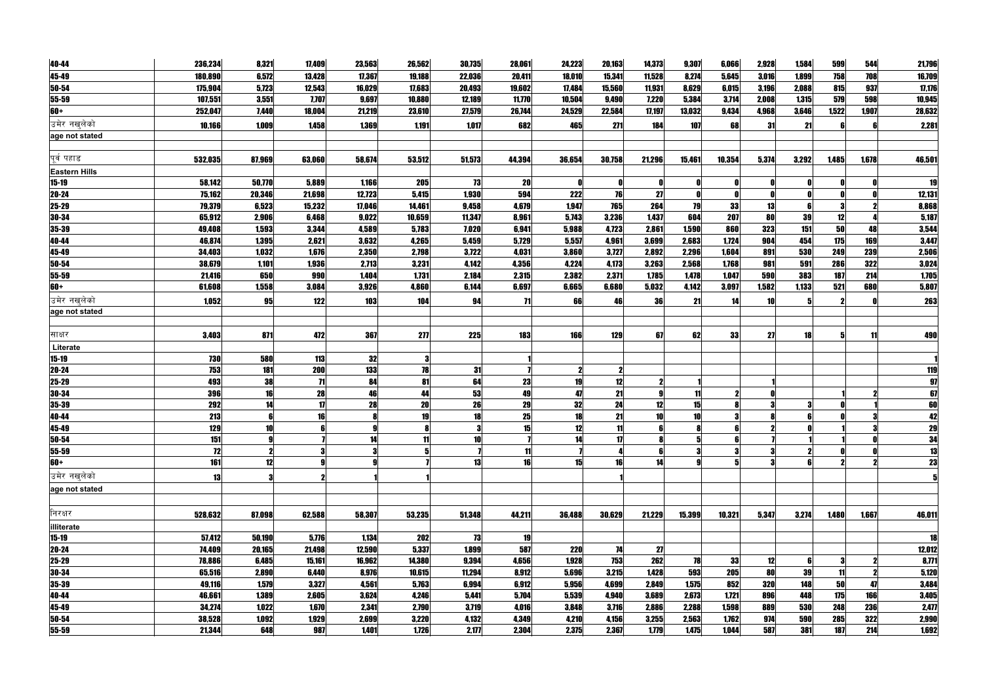| 40-44                | 236,234    | 8,321       | 17,409 | 23,563 | 26,562    | 30,735 | 28,061     | 24,223 | 20,163 | 14,373 | 9,307          | 6,066      | 2,928      | 1,584     | 599        | 544        | 21,796          |
|----------------------|------------|-------------|--------|--------|-----------|--------|------------|--------|--------|--------|----------------|------------|------------|-----------|------------|------------|-----------------|
| 45-49                | 180,890    | 6,572       | 13,428 | 17,367 | 19,188    | 22,036 | 20,411     | 18,010 | 15,341 | 11,528 | 8,274          | 5,645      | 3,016      | 1,899     | <b>758</b> | <b>708</b> | 16,709          |
| 50-54                | 175,904    | 5,723       | 12,543 | 16,029 | 17,683    | 20,493 | 19,602     | 17,484 | 15,560 | 11,931 | 8,629          | 6,015      | 3,196      | 2,088     | 815        | 937        | 17,176          |
| 55-59                | 107,551    | 3,551       | 7,707  | 9,697  | 10,880    | 12,189 | 11,770     | 10,504 | 9,490  | 7,220  | 5,384          | 3,714      | 2,008      | 1,315     | 579        | 598        | 10,945          |
| 60+                  | 252,047    | 7,440       | 18,004 | 21,219 | 23,610    | 27,579 | 26,744     | 24,529 | 22,584 | 17,197 | 13,032         | 9,434      | 4,968      | 3,646     | 1,522      | 1,907      | 28,632          |
| उमेर नखुलेको         | 10,166     | 1,009       | 1,458  | 1,369  | 1,191     | 1,017  | 682        | 465    | 271    | 184    | 107            | 68         | 31         | 21        |            |            | 2,281           |
| age not stated       |            |             |        |        |           |        |            |        |        |        |                |            |            |           |            |            |                 |
|                      |            |             |        |        |           |        |            |        |        |        |                |            |            |           |            |            |                 |
| पूर्व पहाड           | 532,035    | 87,969      | 63,060 | 58,674 | 53,512    | 51,573 | 44,394     | 36,654 | 30,758 | 21,296 | 15,461         | 10,354     | 5,374      | 3,292     | 1,485      | 1,678      | 46,501          |
| <b>Eastern Hills</b> |            |             |        |        |           |        |            |        |        |        |                |            |            |           |            |            |                 |
| $15 - 19$            | 58,142     | 50,770      | 5,889  | 1,166  | 205       | 73     | 20         | -0     |        |        |                |            |            |           |            |            | 19              |
| $20 - 24$            | 75,162     | 20,346      | 21,698 | 12,723 | 5,415     | 1,930  | 594        | 222    | 76     | 27     | $\mathbf{0}$   |            |            |           |            |            | 12,131          |
| 25-29                | 79,379     | 6,523       | 15,232 | 17,046 | 14,461    | 9,458  | 4,679      | 1,947  | 765    | 264    | 79             | 33         | 13         |           |            |            | 8,868           |
| 30-34                | 65,912     | 2,906       | 6,468  | 9,022  | 10,659    | 11,347 | 8,961      | 5,743  | 3,236  | 1,437  | 604            | <b>207</b> | 80         | 39        | 12         |            | 5,187           |
| 35-39                | 49,408     | 1,593       | 3,344  | 4,589  | 5,783     | 7,020  | 6,941      | 5,988  | 4,723  | 2,861  | 1,590          | 860        | 323        | 151       | 50         | 48         | 3,544           |
| 40-44                | 46,874     | 1,395       | 2,621  | 3,632  | 4,265     | 5,459  | 5,729      | 5,557  | 4,961  | 3,699  | 2,683          | 1,724      | 904        | 454       | 175        | 169        | 3,447           |
| 45-49                | 34,403     | 1,032       | 1,676  | 2,350  | 2,798     | 3,722  | 4,031      | 3,860  | 3,727  | 2,892  | 2,296          | 1,604      | 891        | 530       | 249        | 239        | 2,506           |
| 50-54                | 38,679     | 1,101       | 1,936  | 2,713  | 3,231     | 4,142  | 4,356      | 4,224  | 4,173  | 3,263  | 2,568          | 1,768      | 981        | 591       | 286        | 322        | 3,024           |
| 55-59                | 21,416     | 650         | 990    | 1,404  | 1,731     | 2,184  | 2,315      | 2,382  | 2,371  | 1,785  | 1,478          | 1,047      | 590        | 383       | 187        | 214        | 1,705           |
| 60+                  | 61,608     | 1,558       | 3,084  | 3,926  | 4,860     | 6,144  | 6,697      | 6,665  | 6,680  | 5,032  | 4,142          | 3,097      | 1,582      | 1,133     | 521        | 680        | 5,807           |
| उमेर नखुलेको         | 1,052      | 95          | 122    | 103    | 104       | 94     | 71         | 66     | 46     | 36     | 21             | 14         | 10         |           |            |            | 263             |
| age not stated       |            |             |        |        |           |        |            |        |        |        |                |            |            |           |            |            |                 |
|                      |            |             |        |        |           |        |            |        |        |        |                |            |            |           |            |            |                 |
| साक्षर               | 3,403      | 871         | 472    | 367    | 277       | 225    | <b>183</b> | 166    | 129    | 67     | 62             | 33         | 27         | <b>18</b> |            | 11         | 490             |
| Literate             |            |             |        |        |           |        |            |        |        |        |                |            |            |           |            |            |                 |
| $15 - 19$            | <b>730</b> | 580         | 113    | 32     |           |        |            |        |        |        |                |            |            |           |            |            |                 |
| $20 - 24$            | 753        | 181         | 200    | 133    | 78        | 31     |            |        |        |        |                |            |            |           |            |            | 119             |
| 25-29                | 493        | 38          |        | 84     | 81        | 64     | 23         | 19     | 12     |        |                |            |            |           |            |            | 97              |
| 30-34                | <b>396</b> | 16          | 28     | 46     | 44        | 53     | 49         | 47     | 21     |        | 11             |            |            |           |            |            | 67              |
| 35-39                | 292        | 14          |        | 28     | <b>20</b> | 26     | <b>29</b>  | 32     | 24     | 12     | 15             |            |            |           |            |            | 60              |
| 40-44                | 213        |             | 16     |        | 19        | 18     | 25         | 18     | 21     | 10     | 10             |            |            |           |            |            | 42              |
| 45-49                | 129        | 10          |        |        |           |        | 15         | 12     | 11     |        | 8              |            |            |           |            |            | $\overline{29}$ |
| 50-54                | 151        |             |        | 14     |           | 10     |            | 14     | 17     |        | 5 <sub>l</sub> |            |            |           |            |            | 34              |
| 55-59                | 12         | $\mathbf 2$ |        |        |           |        | 11         |        |        |        | 3              |            |            |           |            |            | 13              |
| 60+                  | 161        | 12          |        |        |           | 13     | 16         | 15     | 16     | 14     | 9              |            |            |           |            |            | 23              |
| उमेर नखुलेको         | 13         |             |        |        |           |        |            |        |        |        |                |            |            |           |            |            |                 |
| age not stated       |            |             |        |        |           |        |            |        |        |        |                |            |            |           |            |            |                 |
|                      |            |             |        |        |           |        |            |        |        |        |                |            |            |           |            |            |                 |
| निरक्षर              | 528,632    | 87,098      | 62,588 | 58,307 | 53,235    | 51,348 | 44,211     | 36,488 | 30,629 | 21,229 | 15,399         | 10,321     | 5,347      | 3,274     | 1,480      | 1,667      | 46,011          |
| illiterate           |            |             |        |        |           |        |            |        |        |        |                |            |            |           |            |            |                 |
| $15-19$              | 57,412     | 50,190      | 5,776  | 1,134  | 202       | 73     | 19         |        |        |        |                |            |            |           |            |            | 18              |
| 20-24                | 74,409     | 20,165      | 21,498 | 12,590 | 5,337     | 1,899  | 587        | 220    | 74     | 27     |                |            |            |           |            |            | 12,012          |
| 25-29                | 78,886     | 6,485       | 15,161 | 16,962 | 14,380    | 9,394  | 4,656      | 1,928  | 753    | 262    | 78             | 33         | 12         |           | -3         |            | 8,771           |
| $30 - 34$            | 65,516     | 2,890       | 6,440  | 8,976  | 10,615    | 11,294 | 8,912      | 5,696  | 3,215  | 1,428  | 593            | <b>205</b> | 80         | 39        | 11         |            | 5,120           |
| 35-39                | 49,116     | 1,579       | 3,327  | 4,561  | 5,763     | 6,994  | 6,912      | 5,956  | 4,699  | 2,849  | 1,575          | 852        | <b>320</b> | 148       | 50         | 47         | 3,484           |
| 40-44                | 46,661     | 1,389       | 2,605  | 3,624  | 4,246     | 5,441  | 5,704      | 5,539  | 4,940  | 3,689  | 2,673          | 1,721      | 896        | 448       | 175        | 166        | 3,405           |
| 45-49                | 34,274     | 1,022       | 1,670  | 2,341  | 2,790     | 3,719  | 4,016      | 3,848  | 3,716  | 2,886  | 2,288          | 1,598      | 889        | 530       | 248        | 236        | 2,477           |
| 50-54                | 38,528     | 1,092       | 1,929  | 2,699  | 3,220     | 4,132  | 4,349      | 4,210  | 4,156  | 3,255  | 2,563          | 1,762      | 974        | 590       | <b>285</b> | 322        | 2,990           |
| 55-59                | 21,344     | 648         | 987    | 1,401  | 1,726     | 2,177  | 2,304      | 2,375  | 2,367  | 1,779  | 1,475          | 1,044      | 587        | 381       | 187        | 214        | 1,692           |
|                      |            |             |        |        |           |        |            |        |        |        |                |            |            |           |            |            |                 |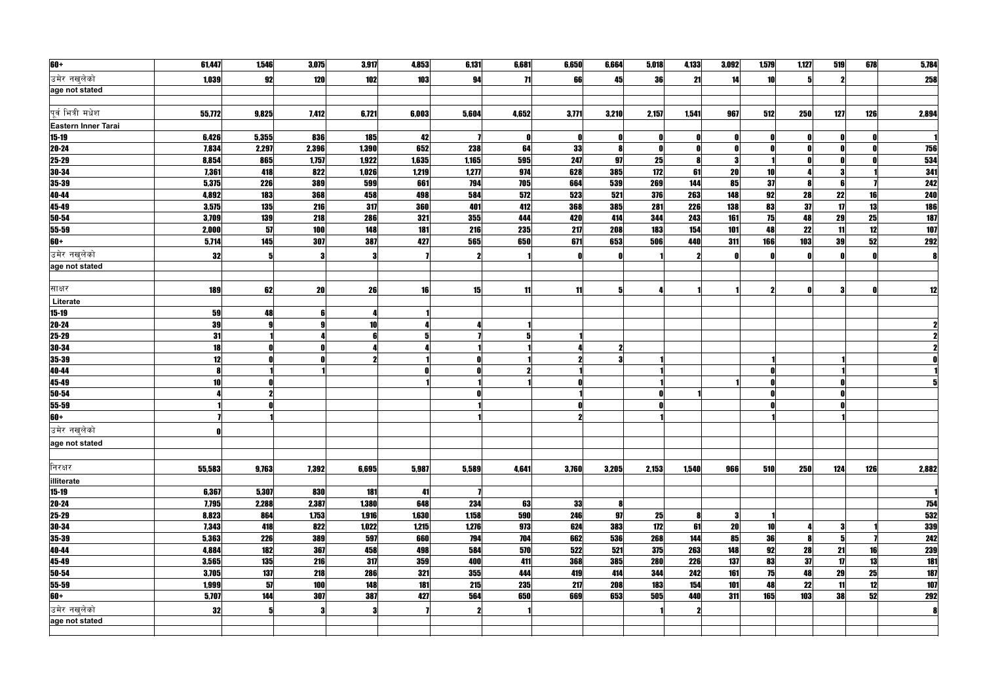| 60+                   | 61,447 | 1,546      | 3,075      | 3,917 | 4,853      | 6,131 | 6,681      | 6,650      | 6,664      | 5,018      | 4,133      | 3,092      | 1,579 | 1,127     | 519           | 678 | 5,784             |
|-----------------------|--------|------------|------------|-------|------------|-------|------------|------------|------------|------------|------------|------------|-------|-----------|---------------|-----|-------------------|
| उमेर नखुलेको          | 1,039  | 92         | 120        | 102   | <b>103</b> | 94    | 71         | 66         | 451        | 36         | 21         | 14         | 10    |           |               |     | <b>258</b>        |
| age not stated        |        |            |            |       |            |       |            |            |            |            |            |            |       |           |               |     |                   |
|                       |        |            |            |       |            |       |            |            |            |            |            |            |       |           |               |     |                   |
| पूर्व भित्री मधेश     | 55,772 | 9,825      | 7,412      | 6,721 | 6,003      | 5,604 | 4,652      | 3,771      | 3,210      | 2,157      | 1,541      | 967        | 512   | 250       | 127           | 126 | 2,894             |
| Eastern Inner Tarai   |        |            |            |       |            |       |            |            |            |            |            |            |       |           |               |     |                   |
| $15-19$               | 6,426  | 5,355      | 836        | 185   | 42         |       |            | 0          |            |            |            |            |       |           |               |     |                   |
| $20 - 24$             | 7,834  | 2,297      | 2,396      | 1,390 | 652        | 238   | 64         | 33         |            |            | 0          |            |       |           |               |     | 756               |
| 25-29                 | 8,854  | 865        | 1,757      | 1,922 | 1,635      | 1,165 | 595        | 247        | 97         | 25         | 8          |            |       |           |               |     | 534               |
| 30-34                 | 7,361  | 418        | 822        | 1,026 | 1,219      | 1,277 | 974        | 628        | 385        | 172        | 61         | 20         | 10    |           |               |     | 341               |
| 35-39                 | 5,375  | 226        | 389        | 599   | 661        | 794   | <b>705</b> | 664        | 539        | 269        | 144        | 85         | 37    |           |               |     | 242               |
| 40-44                 | 4,892  | 183        | 368        | 458   | 498        | 584   | 572        | 523        | 521        | 376        | 263        | 148        | 92    | 28        | 22            | 16  | <b>240</b>        |
| 45-49                 | 3,575  | 135        | 216        | 317   | <b>360</b> | 401   | 412        | 368        | 385        | 281        | 226        | <b>138</b> | 83    | 37        | 17            | 13  | <b>186</b>        |
| $50 - 54$             | 3,709  | 139        | 218        | 286   | 321        | 355   | 444        | 420        | 414        | 344        | 243        | 161        | 75    | 48        | 29            | 25  | 187               |
| 55-59                 | 2,000  | 57         | 100        | 148   | 181        | 216   | 235        | 217        | <b>208</b> | 183        | 154        | 101        | 48    | 22        | 11            | 12  | 107               |
| 60+                   | 5,714  | 145        | 307        | 387   | 427        | 565   | 650        | 671        | 653        | 506        | 440        | 311        | 166   | 103       | 39            | 52  | <b>292</b>        |
| उमेर नखुलेको          | 32     |            |            |       |            |       |            |            |            |            |            |            |       |           |               |     |                   |
| age not stated        |        |            |            |       |            |       |            |            |            |            |            |            |       |           |               |     |                   |
|                       |        |            |            |       |            |       |            |            |            |            |            |            |       |           |               |     |                   |
| साक्षर                | 189    | 62         | <b>20</b>  | 26    | 16         | 15    | 11         | 11         |            |            |            |            |       |           | 3             |     | 12                |
| Literate              |        |            |            |       |            |       |            |            |            |            |            |            |       |           |               |     |                   |
| $15-19$               | 59     | 48         |            |       |            |       |            |            |            |            |            |            |       |           |               |     |                   |
| 20-24                 | 39     |            |            | 10    |            |       |            |            |            |            |            |            |       |           |               |     |                   |
| $25 - 29$             | 31     |            |            |       |            |       |            |            |            |            |            |            |       |           |               |     |                   |
| 30-34                 | 18     |            |            |       |            |       |            |            |            |            |            |            |       |           |               |     |                   |
| 35-39                 | 12     |            |            |       |            |       |            |            |            |            |            |            |       |           |               |     |                   |
| $40 - 44$             |        |            |            |       |            |       |            |            |            |            |            |            |       |           |               |     |                   |
| 45-49                 | 10     |            |            |       |            |       |            |            |            |            |            |            |       |           |               |     |                   |
| $50 - 54$             |        |            |            |       |            |       |            |            |            |            |            |            |       |           |               |     |                   |
| $55 - 59$             |        |            |            |       |            |       |            |            |            |            |            |            |       |           |               |     |                   |
| $60+$                 |        |            |            |       |            |       |            |            |            |            |            |            |       |           |               |     |                   |
| उमेर नखुलेको          |        |            |            |       |            |       |            |            |            |            |            |            |       |           |               |     |                   |
| age not stated        |        |            |            |       |            |       |            |            |            |            |            |            |       |           |               |     |                   |
|                       |        |            |            |       |            |       |            |            |            |            |            |            |       |           |               |     |                   |
| निरक्षर               | 55,583 | 9,763      | 7,392      | 6,695 | 5,987      | 5,589 | 4,641      | 3,760      | 3,205      | 2,153      | 1,540      | 966        | 510   | 250       | 124           | 126 | 2,882             |
|                       |        |            |            |       |            |       |            |            |            |            |            |            |       |           |               |     |                   |
| illiterate<br>$15-19$ | 6,367  | 5,307      | 830        | 181   | 41         |       |            |            |            |            |            |            |       |           |               |     |                   |
| $20 - 24$             | 7,795  | 2,288      | 2,387      | 1,380 | 648        | 234   | 63         | 33         |            |            |            |            |       |           |               |     | 754               |
| $25 - 29$             | 8,823  | 864        | 1,753      | 1,916 | 1,630      | 1,158 | 590        | 246        | 97         | 25         | 8          | Я          |       |           |               |     | 532               |
| $30 - 34$             | 7,343  | 418        | 822        | 1,022 | 1,215      | 1,276 | 973        | 624        | 383        | 172        | 61         | <b>20</b>  | 10    |           | -3            |     | 339               |
| 35-39                 | 5,363  | <b>226</b> | 389        | 597   | 660        | 794   | 704        | 662        | 536        | 268        | 144        | 85         | 36    |           | 5             |     | 242               |
|                       | 4,884  | 182        | 367        | 458   | 498        | 584   | 570        | 522        | 521        | 375        | 263        | 148        | 92    | <b>28</b> | 21            | 16  |                   |
| 40-44                 | 3,565  | <b>135</b> | 216        | 317   | 359        | 400   | 411        | <b>368</b> | <b>385</b> | <b>280</b> | <b>226</b> | 137        | 83    | 37        | $\mathbf{17}$ | 13  | <b>239</b><br>181 |
| 45-49<br>$50 - 54$    | 3,705  | 137        | <b>218</b> | 286   | 321        | 355   | 444        | 419        | 414        | 344        | 242        | 161        | 75    | 48        | <b>29</b>     | 25  | 187               |
| 55-59                 | 1,999  | 57         | 100        | 148   | <b>181</b> | 215   | 235        | 217        | 208        | <b>183</b> | 154        | 101        | 48    | 22        | 11            | 12  | 107               |
| $60+$                 | 5,707  | 144        | 307        | 387   | 427        | 564   | 650        | 669        | 653        | 505        | 440        | 311        | 165   | 103       | 38            | 52  | 292               |
| उमेर नखुलेको          |        |            |            |       |            |       |            |            |            |            |            |            |       |           |               |     |                   |
|                       | 32     |            |            |       |            |       |            |            |            |            |            |            |       |           |               |     |                   |
| age not stated        |        |            |            |       |            |       |            |            |            |            |            |            |       |           |               |     |                   |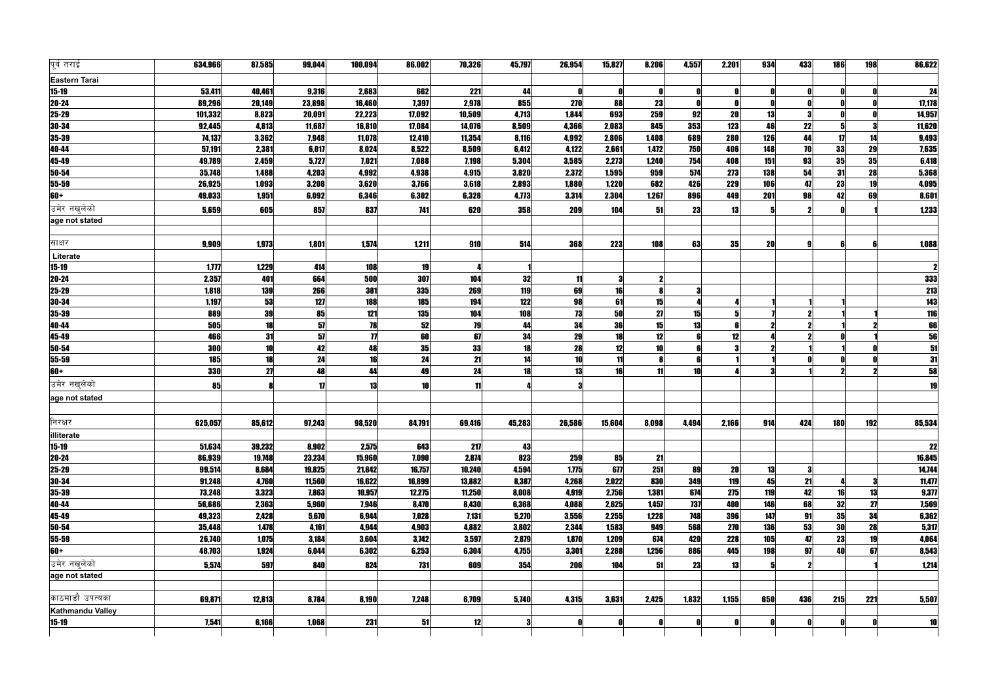| पूर्व तराई              | 634,966 | 87,585     | 99,044 | 100,094        | 86,002 | 70,326 | 45,797         | 26,954     | 15,827       | 8,206     | 4,557     | 2,201           | 934          | 433          | 186       | 198 | 86,622 |
|-------------------------|---------|------------|--------|----------------|--------|--------|----------------|------------|--------------|-----------|-----------|-----------------|--------------|--------------|-----------|-----|--------|
| Eastern Tarai           |         |            |        |                |        |        |                |            |              |           |           |                 |              |              |           |     |        |
| 15-19                   | 53,411  | 40,461     | 9,316  | 2,683          | 662    | 221    | 44             |            | 0            |           |           |                 | $\mathbf{u}$ | n            | O         |     | 24     |
| 20-24                   | 89,296  | 20,149     | 23,898 | 16,460         | 7,397  | 2,978  | 855            | <b>270</b> | 88           | 23        |           |                 | $\mathbf{0}$ |              |           |     | 17,178 |
| 25-29                   | 101,332 | 8,823      | 20,091 | 22,223         | 17,092 | 10,509 | 4,713          | 1,844      | 693          | 259       | 92        | <b>20</b>       | 13           |              |           |     | 14,957 |
| 30-34                   | 92,445  | 4,813      | 11,687 | 16,810         | 17,084 | 14,076 | 8,509          | 4,366      | 2,083        | 845       | 353       | 123             | 46           | 22           | 5         |     | 11,620 |
| 35-39                   | 74,137  | 3,362      | 7,948  | 11,078         | 12,410 | 11,354 | 8,116          | 4,992      | 2,806        | 1,408     | 689       | <b>280</b>      | 126          | 44           | 17        | 14  | 9,493  |
| 40-44                   | 57,191  | 2,381      | 6,017  | 8,024          | 8,522  | 8,509  | 6,412          | 4,122      | 2,661        | 1,472     | 750       | 406             | 148          | 70           | 33        | 29  | 7,635  |
| 45-49                   | 49,789  | 2,459      | 5,727  | 7,021          | 7,088  | 7,198  | 5,304          | 3,585      | 2,273        | 1,240     | 754       | 408             | 151          | 93           | 35        | 35  | 6,418  |
| 50-54                   | 35,748  | 1,488      | 4,203  | 4,992          | 4,938  | 4,915  | 3,820          | 2,372      | 1,595        | 959       | 574       | 273             | 138          | 54           | 31        | 28  | 5,368  |
| 55-59                   | 26,925  | 1,093      | 3,208  | 3,620          | 3,766  | 3,618  | 2,893          | 1,880      | 1,220        | 682       | 426       | <b>229</b>      | 106          | 47           | 23        | 19  | 4,095  |
| 60+                     | 49,033  | 1,951      | 6,092  | 6,346          | 6,302  | 6,328  | 4,773          | 3,314      | 2,304        | 1,267     | 896       | 449             | 201          | 98           | 42        | 69  | 8,601  |
| उमेर नखलेको             | 5,659   | 605        | 857    | 837            | 741    | 620    | 358            | 209        | 104          | 51        | 23        | 13              |              |              |           |     | 1,233  |
| age not stated          |         |            |        |                |        |        |                |            |              |           |           |                 |              |              |           |     |        |
|                         |         |            |        |                |        |        |                |            |              |           |           |                 |              |              |           |     |        |
| साक्षर                  | 9,909   | 1,973      | 1,801  | 1,574          | 1,211  | 910    | 514            | 368        | 223          | 108       | 63        | 35 <sup>°</sup> | 20           | g            |           |     | 1,088  |
| Literate                |         |            |        |                |        |        |                |            |              |           |           |                 |              |              |           |     |        |
| $15-19$                 | 1,777   | 1,229      | 414    | 108            | 19     |        |                |            |              |           |           |                 |              |              |           |     |        |
| 20-24                   | 2,357   | 401        | 664    | 500            | 307    | 104    | 32             | 11         | 3            |           |           |                 |              |              |           |     | 333    |
| 25-29                   | 1,818   | <b>139</b> | 266    | 381            | 335    | 269    | 119            | 69         | 16           |           |           |                 |              |              |           |     | 213    |
| 30-34                   | 1,197   | 53         | 127    | 188            | 185    | 194    | $122$          | 98         | 61           | 15        |           |                 |              |              |           |     | 143    |
| 35-39                   | 889     | 39         | 85     | 121            | 135    | 104    | 108            | 73         | 50           | 27        | 15        |                 |              |              |           |     | 116    |
| 40-44                   | 505     | 18         | 57     | 78             | 52     | 79     | 44             | 34         | 36           | 15        | 13        |                 |              |              |           |     |        |
| 45-49                   | 466     | 31         | 57     | $\overline{1}$ | 60     | 67     | 34             | 29         | 18           | 12        |           | 12              |              |              |           |     | 56     |
| 50-54                   | 300     | 10         | 42     | 48             | 35     | 33     | 18             | <b>28</b>  | 12           | 10        |           |                 |              |              |           |     | 51     |
| 55-59                   | 185     | 18         | 24     | 16             | 24     | 21     | 14             | 10         | 11           |           |           |                 |              |              |           |     | 31     |
| 60+                     | 330     | 27         | 48     | 44             | 49     | 24     | 18             | 13         | 16           | 11        | 10        |                 |              |              |           |     | 58     |
| उमेर नखुलेको            | 85      |            |        | 13             | 10     | 11     |                |            |              |           |           |                 |              |              |           |     |        |
|                         |         |            | 17     |                |        |        |                |            |              |           |           |                 |              |              |           |     |        |
| age not stated          |         |            |        |                |        |        |                |            |              |           |           |                 |              |              |           |     |        |
| निरक्षर                 |         |            |        |                |        |        |                |            |              |           |           |                 |              |              |           |     |        |
| illiterate              | 625,057 | 85,612     | 97,243 | 98,520         | 84,791 | 69,416 | 45,283         | 26,586     | 15,604       | 8,098     | 4,494     | 2,166           | 914          | 424          | 180       | 192 | 85,534 |
| 15-19                   | 51,634  | 39,232     | 8,902  | 2,575          | 643    | 217    | 43             |            |              |           |           |                 |              |              |           |     | 22     |
| 20-24                   |         |            | 23,234 | 15,960         | 7,090  | 2,874  | 823            | 259        |              |           |           |                 |              |              |           |     |        |
|                         | 86,939  | 19,748     | 19,825 | 21,842         | 16,757 | 10,240 |                | 1,775      | 85           | 21<br>251 |           | 20 <sup>1</sup> |              |              |           |     | 16,845 |
| 25-29                   | 99,514  | 8,684      |        | 16,622         |        | 13,882 | 4,594<br>8,387 | 4,268      | 677          | 830       | 89<br>349 | 119             | 13<br>45     | 21           |           |     | 14,744 |
| 30-34                   | 91,248  | 4,760      | 11,560 |                | 16,899 |        |                |            | 2,022        |           |           | 275             |              | 42           |           | 13  | 11,477 |
| 35-39                   | 73,248  | 3,323      | 7,863  | 10,957         | 12,275 | 11,250 | 8,008          | 4,919      | 2,756        | 1,381     | 674       |                 | 119          |              | 16        | 27  | 9,377  |
| 40-44                   | 56,686  | 2,363      | 5,960  | 7,946          | 8,470  | 8,430  | 6,368          | 4,088      | 2,625        | 1,457     | 737       | 400             | 146          | 68           | 32        |     | 7,569  |
| 45-49                   | 49,323  | 2,428      | 5,670  | 6,944          | 7,028  | 7,131  | 5,270          | 3,556      | 2,255        | 1,228     | 748       | <b>396</b>      | 147          | 91           | 35        | 34  | 6,362  |
| 50-54                   | 35,448  | 1,478      | 4,161  | 4,944          | 4,903  | 4,882  | 3,802          | 2,344      | 1,583        | 949       | 568       | <b>270</b>      | <b>136</b>   | 53           | 30        | 28  | 5,317  |
| 55-59                   | 26,740  | 1,075      | 3,184  | 3,604          | 3,742  | 3,597  | 2,879          | 1,870      | 1,209        | 674       | 420       | 228             | 105          | 47           | <b>23</b> | 19  | 4,064  |
| 60+                     | 48,703  | 1,924      | 6,044  | 6,302          | 6,253  | 6,304  | 4,755          | 3,301      | 2,288        | 1,256     | 886       | 445             | 198          | 97           | 40        | 67  | 8,543  |
| उमेर नखुलेको            | 5,574   | 597        | 840    | 824            | 731    | 609    | 354            | 206        | 104          | 51        | 23        | 13              |              |              |           |     | 1,214  |
| age not stated          |         |            |        |                |        |        |                |            |              |           |           |                 |              |              |           |     |        |
|                         |         |            |        |                |        |        |                |            |              |           |           |                 |              |              |           |     |        |
| काठमाडौ उपत्यका         | 69,871  | 12,813     | 8,784  | 8,190          | 7,248  | 6,709  | 5,740          | 4,315      | 3,631        | 2,425     | 1,832     | 1,155           | 650          | 436          | 215       | 221 | 5,507  |
| <b>Kathmandu Valley</b> |         |            |        |                |        |        |                |            |              |           |           |                 |              |              |           |     |        |
| 15-19                   | 7,541   | 6,166      | 1,068  | 231            | 51     | 12     | 3              |            | $\mathbf{0}$ |           |           |                 | $\mathbf{0}$ | $\mathbf{0}$ | 0         |     | 10     |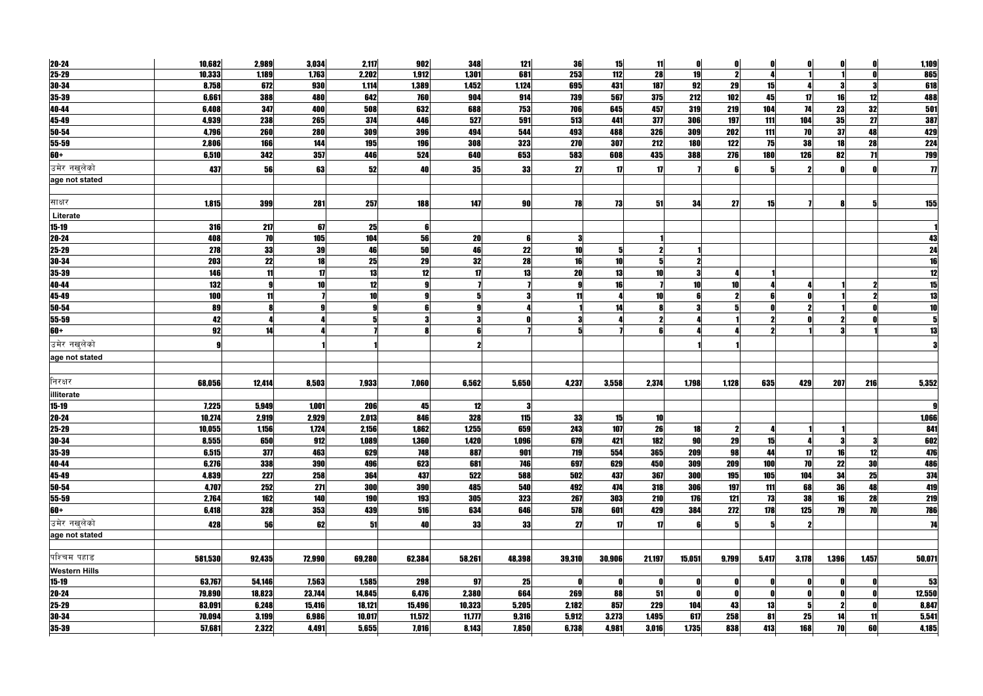| $\frac{20-24}{25-29}$  | 10,682  | 2,989      | 3,034      | 2,117      | 902        | 348              | 121             | 36           | 15           | 11     | $\mathbf 0$ |            |                  |              |           |                 | 1,109               |
|------------------------|---------|------------|------------|------------|------------|------------------|-----------------|--------------|--------------|--------|-------------|------------|------------------|--------------|-----------|-----------------|---------------------|
|                        | 10,333  | 1,189      | 1,763      | 2,202      | 1,912      | 1,301            | 681             | 253          | 112          | 28     | 19          |            |                  |              |           |                 | 865                 |
| 30-34                  | 8,758   | 672        | 930        | 1,114      | 1,389      | 1,452            | 1,124           | 695          | 431          | 187    | 92          | 29         | 15               |              |           |                 | 618                 |
| 35-39                  | 6,661   | <b>388</b> | 480        | 642        | 760        | 904              | 914             | 739          | 567          | 375    | 212         | 102        | 45               | 17           | 16        | 12              | 488                 |
| 40-44                  | 6,408   | 347        | 400        | 508        | 632        | 688              | 753             | 706          | 645          | 457    | 319         | <b>219</b> | 104              | 74           | 23        | 32              | 501                 |
| 45-49                  | 4,939   | 238        | 265        | 374        | 446        | 527              | 591             | 513          | 441          | 377    | 306         | 197        | $\overline{111}$ | 104          | 35        | $\overline{27}$ | 387                 |
| $50 - 54$              | 4,796   | 260        | <b>280</b> | 309        | 396        | 494              | 544             | 493          | 488          | 326    | 309         | 202        | 111              | 70           | 37        | 48              | 429                 |
| $55-59$                | 2,806   | 166        | 144        | 195        | 196        | 308              | 323             | <b>270</b>   | 307          | 212    | <b>180</b>  | $122$      | 75               | 38           | <b>18</b> | <b>28</b>       | 224                 |
| 60+                    | 6,510   | 342        | 357        | 446        | 524        | 640              | 653             | 583          | 608          | 435    | 388         | 276        | <b>180</b>       | 126          | 82        | $\overline{11}$ | <b>799</b>          |
| उमेर नखुलेको           | 437     | 56         | 63         | 52         | 40         | 35               | 33              | 27           | 17           | 17     |             |            |                  |              |           |                 | $\boldsymbol{\eta}$ |
| age not stated         |         |            |            |            |            |                  |                 |              |              |        |             |            |                  |              |           |                 |                     |
|                        |         |            |            |            |            |                  |                 |              |              |        |             |            |                  |              |           |                 |                     |
| साक्षर                 | 1,815   | 399        | 281        | 257        | 188        | 147              | 90              | 78           | 73           | 51     | 34          | 27         | 15               |              |           |                 | 155                 |
| Literate               |         |            |            |            |            |                  |                 |              |              |        |             |            |                  |              |           |                 |                     |
| $15-19$                | 316     | 217        | 67         | 25         |            |                  |                 |              |              |        |             |            |                  |              |           |                 |                     |
| $20 - 24$              | 408     | 70         | 105        | 104        | 56         | 20               |                 | -3           |              |        |             |            |                  |              |           |                 | 43                  |
| 25-29                  | 278     | 33         | 39         | 46         | 50         | 46               | 22              | 10           |              |        |             |            |                  |              |           |                 | 24                  |
| 30-34                  | 203     | 22         | 18         | 25         | 29         | 32               | $\overline{28}$ | 16           | 10           |        | 2           |            |                  |              |           |                 | 16                  |
| 35-39                  | 146     | 11         | 17         | 13         | 12         | 17               | 13              | 20           | 13           | 10     | 3           |            |                  |              |           |                 | 12                  |
| 40-44                  | 132     | 9          |            | 12         |            |                  |                 | 9            | 16           |        | 10          | 10         |                  |              |           |                 | 15                  |
| 45-49                  | 100     | 11         |            | 10         |            |                  |                 | 11           |              | 10     |             |            |                  |              |           |                 | 13                  |
| 50-54                  | 89      |            |            |            |            |                  |                 |              | 14           |        |             |            |                  |              |           |                 | 10                  |
| 55-59                  | 42      |            |            |            |            | 3                |                 |              |              |        |             |            |                  |              |           |                 |                     |
| 60+                    | 92      | 14         |            |            |            |                  |                 |              |              |        |             |            |                  |              |           |                 |                     |
| उमेर नखुलेको           |         |            |            |            |            |                  |                 |              |              |        |             |            |                  |              |           |                 |                     |
| age not stated         |         |            |            |            |            |                  |                 |              |              |        |             |            |                  |              |           |                 |                     |
|                        |         |            |            |            |            |                  |                 |              |              |        |             |            |                  |              |           |                 |                     |
| निरक्षर                |         | 12,414     |            |            |            | 6,562            |                 | 4,237        |              |        |             | 1,128      | 635              | 429          |           |                 |                     |
|                        | 68,056  |            | 8,503      | 7,933      | 7,060      |                  | 5,650           |              | 3,558        | 2,374  | 1,798       |            |                  |              | 207       | <b>216</b>      | 5,352               |
| illiterate             | 7,225   | 5,949      | 1,001      | 206        | 45         | 12               |                 |              |              |        |             |            |                  |              |           |                 |                     |
| $15 - 19$<br>$20 - 24$ | 10,274  | 2,919      | 2,929      | 2,013      | 846        | 328              | 115             | 33           | 15           | 10     |             |            |                  |              |           |                 | 1,066               |
|                        | 10,055  | 1,156      | 1,724      | 2,156      | 1,862      | 1,255            | 659             | 243          | 107          | 26     | 18          |            |                  |              |           |                 | 841                 |
| 25-29<br>30-34         | 8,555   | 650        | 912        | 1,089      | 1,360      | 1,420            | 1,096           | 679          | 421          | 182    | <b>90</b>   | 29         | 15               |              | 3         |                 | 602                 |
| $35 - 39$              | 6,515   | 377        | 463        | 629        | 748        | 887              | 901             | 719          | 554          | 365    | 209         | 98         | 44               | $\mathbf{1}$ | 16        | 12              | 476                 |
| 40-44                  | 6,276   | 338        | <b>390</b> | 496        | 623        | 681              | 746             | 697          | 629          | 450    | 309         | 209        | 100              | 70           | 22        | <b>30</b>       | 486                 |
| 45-49                  | 4,839   | 227        | 258        | 364        | 437        | 522              | 588             | 502          | 437          | 367    | <b>300</b>  | <b>195</b> | <b>105</b>       | 104          | 34        | 25              | 374                 |
| $50 - 54$              | 4,707   | 252        | 271        | 300        | 390        | 485              | 540             | 492          | 474          | 318    | 306         | 197        | $\overline{111}$ | 68           | 36        | 48              | 419                 |
| 55-59                  | 2,764   | 162        | <b>140</b> | <b>190</b> | <b>193</b> | 305              | 323             | 267          | <b>303</b>   | 210    | 176         | 121        | 73               | 38           | 16        | <b>28</b>       | 219                 |
| 60+                    | 6,418   | 328        | 353        | 439        | 516        | 634              | 646             | 578          | 601          | 429    | 384         | 272        | 178              | 125          | 79        | 70              | <b>786</b>          |
| उमेर नखुलेक <u>ो</u>   |         |            |            |            |            |                  |                 |              |              |        |             |            |                  |              |           |                 |                     |
| age not stated         | 428     | 56         | 62         | 51         | 40         | 33               | 33              | 27           | 17           | 17     |             |            |                  |              |           |                 | 74                  |
|                        |         |            |            |            |            |                  |                 |              |              |        |             |            |                  |              |           |                 |                     |
| पश्चिम पहाड            |         | 92,435     |            |            |            |                  |                 |              |              |        |             | 9,799      | 5,417            | 3,178        |           | 1,457           | 50,071              |
|                        | 581,530 |            | 72,990     | 69,280     | 62,384     | 58,261           | 48,398          | 39,310       | 30,906       | 21,197 | 15,051      |            |                  |              | 1,396     |                 |                     |
| <b>Western Hills</b>   | 63,767  |            |            | 1,585      | 298        |                  |                 |              |              |        |             |            |                  |              | 0         |                 |                     |
| $15-19$                |         | 54,146     | 7,563      |            |            | 97               | 25              | $\mathbf{0}$ |              |        | 0           |            |                  |              |           |                 | 53                  |
| $20 - 24$              | 79,890  | 18,823     | 23,744     | 14,845     | 6,476      | 2,380            | 664             | 269          | 88           | 51     |             |            |                  |              |           |                 | 12,550              |
| $25 - 29$              | 83,091  | 6,248      | 15,416     | 18,121     | 15,496     | 10,323<br>11,777 | 5,205<br>9,316  | 2,182        | 857<br>3,273 | 229    | 104<br>617  | 43<br>258  | 13<br>81         |              | 14        |                 | 8,847               |
| 30-34                  | 70,094  | 3,199      | 6,986      | 10,017     | 11,572     |                  |                 | 5,912        |              | 1,495  |             |            |                  | 25           |           | 11              | 5,541               |
| 35-39                  | 57,681  | 2,322      | 4,491      | 5,655      | 7,016      | 8,143            | 7,850           | 6,738        | 4,981        | 3,016  | 1,735       | 838        | 413              | <b>168</b>   | 70        | 60              | 4,185               |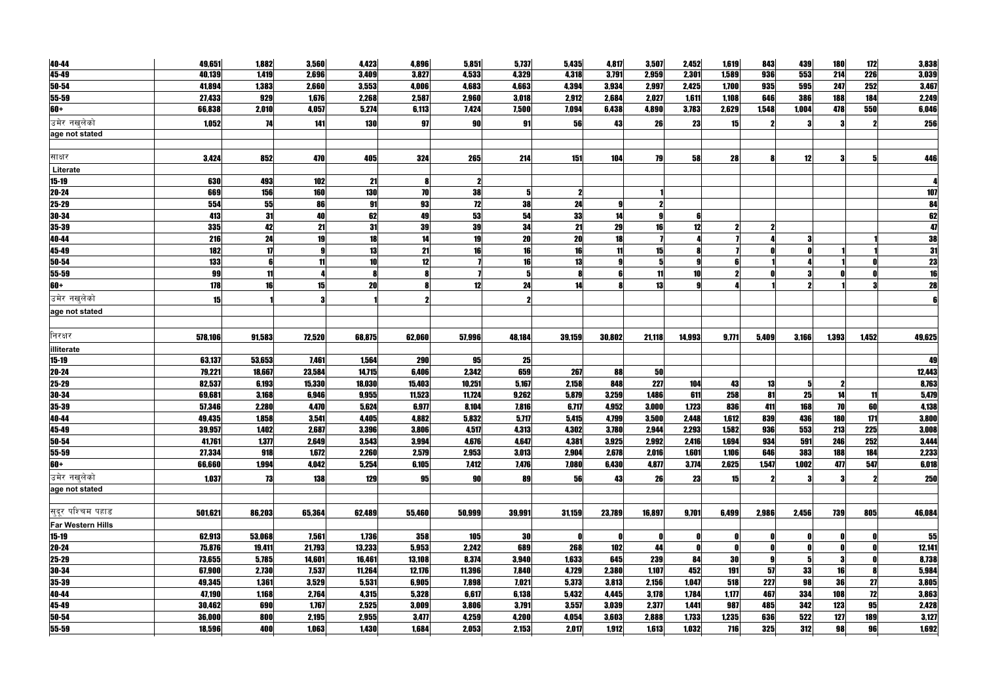| 40-44                    | 49,651  | 1,882  | 3,560      | 4,423      | 4,896      | 5,851           | 5,737          | 5,435       | 4,817  | 3,507  | 2,452        | 1,619      | 843               | 439   | <b>180</b>    | 172        | 3,838           |
|--------------------------|---------|--------|------------|------------|------------|-----------------|----------------|-------------|--------|--------|--------------|------------|-------------------|-------|---------------|------------|-----------------|
| 45-49                    | 40,139  | 1,419  | 2,696      | 3,409      | 3,827      | 4,533           | 4,329          | 4,318       | 3,791  | 2,959  | 2,301        | 1,589      | 936               | 553   | 214           | 226        | 3,039           |
| 50-54                    | 41,894  | 1,383  | 2,660      | 3,553      | 4,006      | 4,683           | 4,663          | 4,394       | 3,934  | 2,997  | 2,425        | 1,700      | 935               | 595   | 247           | 252        | 3,467           |
| 55-59                    | 27,433  | 929    | 1,676      | 2,268      | 2,587      | 2,960           | 3,018          | 2,912       | 2,684  | 2,027  | 1,611        | 1,108      | 646               | 386   | 188           | 184        | 2,249           |
| 60+                      | 66,838  | 2,010  | 4,057      | 5,274      | 6,113      | 7,424           | 7,500          | 7,094       | 6,438  | 4,890  | 3,783        | 2,629      | 1,548             | 1,004 | 478           | 550        | 6,046           |
| उमेर नखलेको              | 1,052   | 74     | 141        | <b>130</b> | 97         | 90              | 91             | 56          | 43     | 26     | 23           | 15         |                   |       |               |            | 256             |
| age not stated           |         |        |            |            |            |                 |                |             |        |        |              |            |                   |       |               |            |                 |
|                          |         |        |            |            |            |                 |                |             |        |        |              |            |                   |       |               |            |                 |
| साक्षर                   | 3,424   | 852    | 470        | 405        | 324        | 265             | 214            | 151         | 104    | 79     | 58           | 28         |                   | 12    |               |            | 446             |
| Literate                 |         |        |            |            |            |                 |                |             |        |        |              |            |                   |       |               |            |                 |
| $15 - 19$                | 630     | 493    | 102        | 21         |            |                 |                |             |        |        |              |            |                   |       |               |            |                 |
| $20 - 24$                | 669     | 156    | 160        | <b>130</b> | 70         | 38              | 5 <sub>l</sub> | $\mathbf 2$ |        |        |              |            |                   |       |               |            | 107             |
| 25-29                    | 554     | 55     | 86         | 91         | 93         | $\overline{12}$ | <b>38</b>      | 24          |        |        |              |            |                   |       |               |            | 84              |
| 30-34                    | 413     | 31     | 40         | 62         | 49         | 53              | 54             | 33          | 14     |        |              |            |                   |       |               |            | 62              |
| 35-39                    | 335     | 42     | 21         | 31         | 39         | 39              | 34             | 21          | 29     |        | 12           |            |                   |       |               |            | 47              |
| 40-44                    | 216     | 24     |            | 18         | 14         | 19              | 20             | 20          | 18     |        |              |            |                   |       |               |            | 38              |
| 45-49                    | 182     | 17     |            | 13         | 21         | 16              | 16             | 16          |        | 15     |              |            |                   |       |               |            | 31              |
| 50-54                    | 133     | 6      |            | 10         | 12         |                 | 16             | 13          |        |        | 9            |            |                   |       |               |            | 23              |
| 55-59                    | 99      | 11     |            |            |            |                 |                |             |        |        | 10           |            |                   |       |               |            | $\overline{16}$ |
| $60+$                    | 178     | 16     | 15         | <b>20</b>  |            | 12              | 24             | 14          |        | 13     | $\mathbf{q}$ |            |                   |       |               |            | 28              |
| उमेर नखुलेको             | 15      |        |            |            |            |                 |                |             |        |        |              |            |                   |       |               |            |                 |
| age not stated           |         |        |            |            |            |                 |                |             |        |        |              |            |                   |       |               |            |                 |
|                          |         |        |            |            |            |                 |                |             |        |        |              |            |                   |       |               |            |                 |
| निरक्षर                  | 578,106 | 91,583 | 72,520     | 68,875     | 62,060     | 57,996          | 48,184         | 39,159      | 30,802 | 21,118 | 14,993       | 9,771      | 5,409             | 3,166 | 1,393         | 1,452      | 49,625          |
| illiterate               |         |        |            |            |            |                 |                |             |        |        |              |            |                   |       |               |            |                 |
| $15 - 19$                | 63,137  | 53,653 | 7,461      | 1,564      | <b>290</b> | 95              | 25             |             |        |        |              |            |                   |       |               |            | 49              |
| $20 - 24$                | 79,221  | 18,667 | 23,584     | 14,715     | 6,406      | 2,342           | 659            | 267         | 88     | 50     |              |            |                   |       |               |            | 12,443          |
| $25 - 29$                | 82,537  | 6,193  | 15,330     | 18,030     | 15,403     | 10,251          | 5,167          | 2,158       | 848    | 227    | 104          | 43         | 13                |       |               |            | 8,763           |
| 30-34                    | 69,681  | 3,168  | 6,946      | 9,955      | 11,523     | 11,724          | 9,262          | 5,879       | 3,259  | 1,486  | 611          | 258        | $\boldsymbol{81}$ | 25    | 14            | 11         | 5,479           |
| 35-39                    | 57,346  | 2,280  | 4,470      | 5,624      | 6,977      | 8,104           | 7,816          | 6,717       | 4,952  | 3,000  | 1,723        | 836        | 411               | 168   | 70            | 60         | 4,138           |
| 40-44                    | 49,435  | 1,858  | 3,541      | 4,405      | 4,882      | 5,832           | 5,717          | 5,415       | 4,799  | 3,500  | 2,448        | 1,612      | 839               | 436   | <b>180</b>    | 171        | 3,800           |
| $45 - 49$                | 39,957  | 1,402  | 2,687      | 3,396      | 3,806      | 4,517           | 4,313          | 4,302       | 3,780  | 2,944  | 2,293        | 1,582      | <b>936</b>        | 553   | 213           | <b>225</b> | 3,008           |
| 50-54                    | 41,761  | 1,377  | 2,649      | 3,543      | 3,994      | 4,676           | 4,647          | 4,381       | 3,925  | 2,992  | 2,416        | 1,694      | 934               | 591   | 246           | 252        | 3,444           |
| 55-59                    | 27,334  | 918    | 1,672      | 2,260      | 2,579      | 2,953           | 3,013          | 2,904       | 2,678  | 2,016  | 1,601        | 1,106      | 646               | 383   | <b>188</b>    | 184        | 2,233           |
| 60+                      | 66,660  | 1,994  | 4,042      | 5,254      | 6,105      | 7,412           | 7,476          | 7,080       | 6,430  | 4,877  | 3,774        | 2,625      | 1,547             | 1,002 | 477           | 547        | 6,018           |
| उमेर नखुलेको             | 1,037   | 73     | <b>138</b> | 129        | 95         | 90              | 89             | 56          | 43     | 26     | 23           | 15         |                   |       |               |            | 250             |
| age not stated           |         |        |            |            |            |                 |                |             |        |        |              |            |                   |       |               |            |                 |
|                          |         |        |            |            |            |                 |                |             |        |        |              |            |                   |       |               |            |                 |
| सुदूर पश्चिम पहाड        | 501,621 | 86,203 | 65,364     | 62,489     | 55,460     | 50,999          | 39,991         | 31,159      | 23,789 | 16,897 | 9,701        | 6,499      | 2,986             | 2,456 | <b>739</b>    | 805        | 46,084          |
| <b>Far Western Hills</b> |         |        |            |            |            |                 |                |             |        |        |              |            |                   |       |               |            |                 |
| $15-19$                  | 62,913  | 53,068 | 7,561      | 1,736      | 358        | 105             | <b>30</b>      | O           |        |        | 0            |            |                   |       | n             |            | 55              |
| $20 - 24$                | 75,876  | 19,411 | 21,793     | 13,233     | 5,953      | 2,242           | 689            | 268         | 102    | 44     | 0            |            |                   |       |               |            | 12,141          |
| 25-29                    | 73,655  | 5,785  | 14,601     | 16,461     | 13,108     | 8,374           | 3,940          | 1,633       | 645    | 239    | 84           | 30         |                   |       |               |            | 8,738           |
| 30-34                    | 67,900  | 2,730  | 7,537      | 11,264     | 12,176     | 11,396          | 7,840          | 4,729       | 2,380  | 1,107  | 452          | <b>191</b> | 57                | 33    | 16            |            | 5,984           |
| 35-39                    | 49,345  | 1,361  | 3,529      | 5,531      | 6,905      | 7,898           | 7,021          | 5,373       | 3,813  | 2,156  | 1,047        | 518        | 227               | 98    | 36            | 27         | 3,805           |
| 40-44                    | 47,190  | 1,168  | 2,764      | 4,315      | 5,328      | 6,617           | 6,138          | 5,432       | 4,445  | 3,178  | 1,784        | 1,177      | 467               | 334   | 108           | 12         | 3,863           |
| 45-49                    | 30,462  | 690    | 1,767      | 2,525      | 3,009      | 3,806           | 3,791          | 3,557       | 3,039  | 2,377  | 1,441        | 987        | 485               | 342   | $\boxed{123}$ | 95         | 2,428           |
| 50-54                    | 36,000  | 800    | 2,195      | 2,955      | 3,477      | 4,259           | 4,200          | 4,054       | 3,603  | 2,888  | 1,733        | 1,235      | 636               | 522   | 127           | 189        | 3,127           |
| 55-59                    | 18,596  | 400    | 1,063      | 1,430      | 1,684      | 2,053           | 2,153          | 2,017       | 1,912  | 1,613  | 1,032        | 716        | 325               | 312   | 98            | 96         | 1,692           |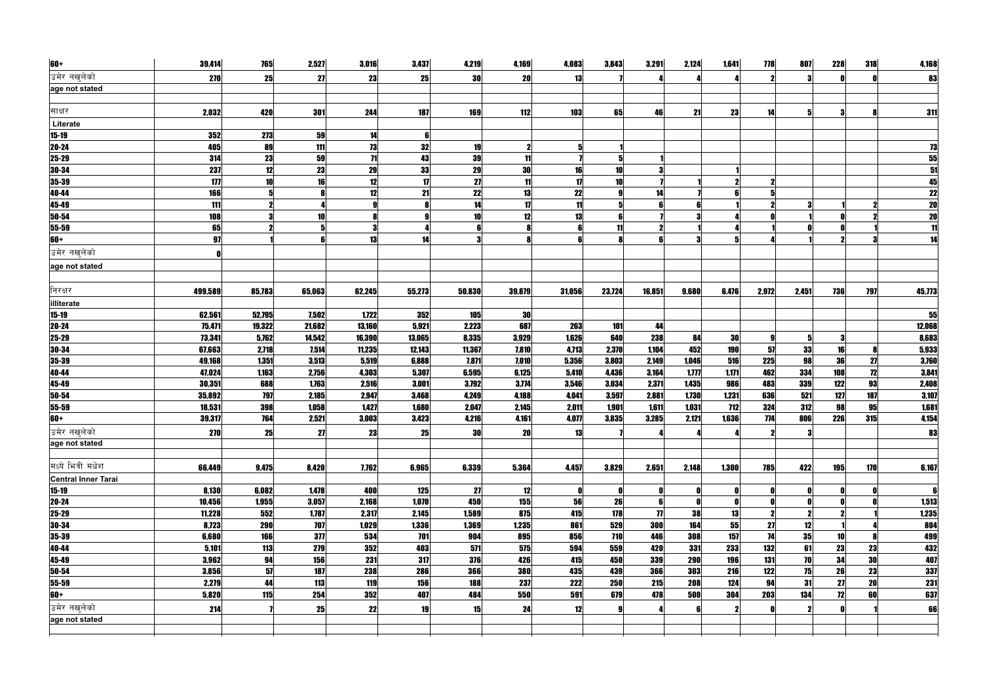| 60+                 | 39,414       | <b>765</b> | 2,527        | 3,016           | 3,437  | 4,219  | 4,169        | 4,083  | 3,843            | 3,291          | 2,124      | 1,641      | <b>778</b>         | 807      | 228        | 318                      | 4,168     |
|---------------------|--------------|------------|--------------|-----------------|--------|--------|--------------|--------|------------------|----------------|------------|------------|--------------------|----------|------------|--------------------------|-----------|
| उमेर नखुलेको        | 270          | 25         | 27           | 23              | 25     | 30     | <b>20</b>    | 13     |                  |                |            |            | $\mathbf 2$        |          |            |                          | 83        |
| age not stated      |              |            |              |                 |        |        |              |        |                  |                |            |            |                    |          |            |                          |           |
|                     |              |            |              |                 |        |        |              |        |                  |                |            |            |                    |          |            |                          |           |
| साक्षर              | 2,032        | 420        | 301          | 244             | 187    | 169    | 112          | 103    | 65               | 46             | 21         | 23         | 14                 | 5        | 3          |                          | 311       |
| Literate            |              |            |              |                 |        |        |              |        |                  |                |            |            |                    |          |            |                          |           |
| $15-19$             | 352          | 273        | 59           | 14              |        |        |              |        |                  |                |            |            |                    |          |            |                          |           |
| 20-24               | 405          | 89         | 111          | 73              | 32     | 19     |              |        |                  |                |            |            |                    |          |            |                          | 73        |
| 25-29               | 314          | 23         | 59           | $\overline{11}$ | 43     | 39     | 11           |        |                  |                |            |            |                    |          |            |                          | 55        |
| 30-34               | 237          | 12         | 23           | 29              | 33     | 29     | 30           | 16     | 10               |                |            |            |                    |          |            |                          | 51        |
| 35-39               | 177          | 10         | 16           | 12              | 17     | 27     | 11           | 17     | 10               |                |            |            |                    |          |            |                          |           |
| 40-44               | 166          |            |              | 12              | 21     | 22     | 13           | 22     | $\boldsymbol{9}$ | 14             |            |            |                    |          |            |                          | 22        |
| 45-49               | 111          |            |              |                 |        | 14     | $\mathbf{1}$ | 11     | 5 <sub>l</sub>   |                |            |            |                    |          |            |                          | <b>20</b> |
| 50-54               | 108          |            | 10           |                 |        | 10     | 12           | 13     | 6                |                |            |            |                    |          |            |                          | 20        |
| 55-59               | 65           |            |              |                 |        |        |              |        | 11               |                |            |            |                    |          |            |                          |           |
| 60+                 | 97           |            |              | 13              | 14     |        |              |        | 8                |                |            |            |                    |          |            |                          | 14        |
| उमेर नखुलेको        | $\mathbf{0}$ |            |              |                 |        |        |              |        |                  |                |            |            |                    |          |            |                          |           |
| age not stated      |              |            |              |                 |        |        |              |        |                  |                |            |            |                    |          |            |                          |           |
|                     |              |            |              |                 |        |        |              |        |                  |                |            |            |                    |          |            |                          |           |
| निरक्षर             | 499,589      | 85,783     | 65,063       | 62,245          | 55,273 | 50,830 | 39,879       | 31,056 | 23,724           | 16,851         | 9,680      | 6,476      | 2,972              | 2,451    | 736        | <b>797</b>               | 45,773    |
| illiterate          |              |            |              |                 |        |        |              |        |                  |                |            |            |                    |          |            |                          |           |
| 15-19               | 62,561       | 52,795     | 7,502        | 1,722           | 352    | 105    | 30           |        |                  |                |            |            |                    |          |            |                          | 55        |
| 20-24               | 75,471       | 19,322     | 21,682       | 13,160          | 5,921  | 2,223  | 687          | 263    | 101              | 44             |            |            |                    |          |            |                          | 12,068    |
| 25-29               | 73,341       | 5,762      | 14,542       | 16,390          | 13,065 | 8,335  | 3,929        | 1,626  | 640              | 238            | 84         | 30         | 9                  | 5        | 3          |                          | 8,683     |
| 30-34               | 67,663       | 2,718      | 7,514        | 11,235          | 12,143 | 11,367 | 7,810        | 4,713  | 2,370            | 1,104          | 452        | <b>190</b> | 57                 | 33       | 16         |                          | 5,933     |
| 35-39               | 49,168       | 1,351      | 3,513        | 5,519           | 6,888  | 7,871  | 7,010        | 5,356  | 3,803            | 2,149          | 1,046      | 516        | 225                | 98       | 36         | 27                       | 3,760     |
| 40-44               | 47,024       | 1,163      | 2,756        | 4,303           | 5,307  | 6,595  | 6,125        | 5,410  | 4,436            | 3,164          | 1,777      | 1,171      | 462                | 334      | 108        | 12                       | 3,841     |
| 45-49               | 30,351       | 688        | 1,763        | 2,516           | 3,001  | 3,792  | 3,774        | 3,546  | 3,034            | 2,371          | 1,435      | 986        | 483                | 339      | 122        | 93                       | 2,408     |
| 50-54               | 35,892       | 797        | 2,185        | 2,947           | 3,468  | 4,249  | 4,188        | 4,041  | 3,597            | 2,881          | 1,730      | 1,231      | 636                | 521      | 127        | 187                      | 3,107     |
| 55-59               | 18,531       | 398        | 1,058        | 1,427           | 1,680  | 2,047  | 2,145        | 2,011  | 1,901            | 1,611          | 1,031      | <b>712</b> | 324                | 312      | 98         | 95                       | 1,681     |
| 60+                 | 39,317       | 764        | 2,521        | 3,003           | 3,423  | 4,216  | 4,161        | 4,077  | 3,835            | 3,285          | 2,121      | 1,636      | <b>774</b>         | 806      | 226        | 315                      | 4,154     |
|                     |              |            |              |                 |        |        |              |        |                  |                |            |            |                    |          |            |                          |           |
| उमेर नखुलेको        | <b>270</b>   | 25         | 27           | <b>23</b>       | 25     | 30     | <b>20</b>    | 13     | 7                |                |            |            | 2 <sup>1</sup>     | $\bf{3}$ |            |                          | 83        |
| age not stated      |              |            |              |                 |        |        |              |        |                  |                |            |            |                    |          |            |                          |           |
| मध्ये भित्री मधेश   |              |            |              |                 |        |        |              |        |                  |                |            |            |                    |          |            |                          |           |
|                     | 66,449       | 9,475      | 8,420        | 7,762           | 6,965  | 6,339  | 5,364        | 4,457  | 3,829            | 2,651          | 2,148      | 1,300      | <b>785</b>         | 422      | <b>195</b> | 170                      | 6,167     |
| Central Inner Tarai |              |            |              |                 |        |        |              |        |                  |                |            |            |                    |          |            |                          |           |
| 15-19               | 8,130        | 6,082      | 1,478        | 400             | 125    | 27     | 12           |        |                  |                |            |            | 0                  |          |            |                          |           |
| 20-24               | 10,456       | 1,955      | 3,057        | 2,168           | 1,070  | 450    | 155          | 56     | 26               |                |            |            | $\mathbf{0}$       | n        |            |                          | 1,513     |
| 25-29               | 11,228       | 552        | 1,787<br>707 | 2,317           | 2,145  | 1,589  | 875          | 415    | <b>178</b>       | $\overline{1}$ | 38         | 13         | $\mathbf{2}$<br>27 |          |            |                          | 1,235     |
| 30-34               | 8,723        | 290        |              | 1,029           | 1,336  | 1,369  | 1,235        | 861    | 529              | 300            | 164        | 55         |                    | 12       |            |                          | 804       |
| 35-39               | 6,680        | 166        | 377          | 534             | 701    | 904    | 895          | 856    | 710              | 446            | 308        | 157        | 74                 | 35       | 10         |                          | 499       |
| 40-44               | 5,101        | <b>113</b> | 279          | 352             | 403    | 571    | 575          | 594    | 559              | 420            | 331        | 233        | 132                | 61       | 23         | 23                       | 432       |
| 45-49               | 3,962        | 94         | 156          | <b>231</b>      | 317    | 376    | 426          | 415    | 450              | 339            | <b>290</b> | <b>196</b> | 131                | 70       | 34         | $\overline{\mathbf{30}}$ | 407       |
| 50-54               | 3,856        | 57         | 187          | 238             | 286    | 366    | 380          | 435    | 439              | 366            | 303        | 216        | 122                | 75       | 26         | 23                       | 337       |
| $55 - 59$           | 2,279        | 44         | 113          | 119             | 156    | 188    | 237          | 222    | 250              | 215            | <b>208</b> | 124        | 94                 | 31       | 27         | 20                       | 231       |
| 60+                 | 5,820        | 115        | 254          | 352             | 407    | 484    | 550          | 591    | 679              | 478            | 500        | 304        | 203                | 134      | 12         | 60                       | 637       |
| उमेर नखुलेको        | 214          |            | 25           | 22              | 19     | 15     | 24           | 12     |                  |                |            |            | n                  |          |            |                          | 66        |
| age not stated      |              |            |              |                 |        |        |              |        |                  |                |            |            |                    |          |            |                          |           |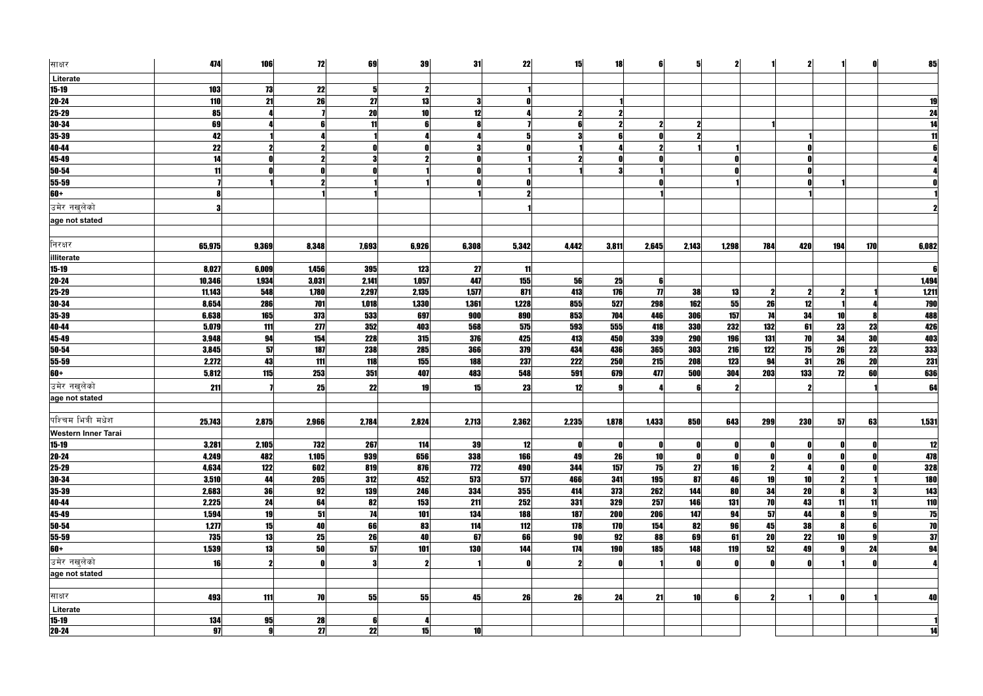| साक्षर                     | 474             | <b>106</b>              | 72              | 69              | 39    | 31         | 22         | 15           | <b>18</b>  |                     | 5          |              |                         |           |                  |           | 85         |
|----------------------------|-----------------|-------------------------|-----------------|-----------------|-------|------------|------------|--------------|------------|---------------------|------------|--------------|-------------------------|-----------|------------------|-----------|------------|
| Literate                   |                 |                         |                 |                 |       |            |            |              |            |                     |            |              |                         |           |                  |           |            |
| $15-19$                    | 103             | 73                      | 22              | 5               |       |            |            |              |            |                     |            |              |                         |           |                  |           |            |
|                            | <b>110</b>      | 21                      | 26              | 27              | 13    | 3          |            |              |            |                     |            |              |                         |           |                  |           | 19         |
| 20-24<br>25-29             | 85              |                         |                 | 20              | 10    | 12         |            | 2            |            |                     |            |              |                         |           |                  |           | 24         |
| $30 - 34$                  | 69              |                         |                 |                 |       |            |            |              |            |                     |            |              |                         |           |                  |           | 14         |
| $35 - 39$                  | 42              |                         |                 |                 |       |            |            | 3            |            |                     |            |              |                         |           |                  |           |            |
| 40-44                      | $\overline{22}$ |                         |                 |                 |       | 3          |            |              |            |                     |            |              |                         |           |                  |           |            |
| 45-49                      | $\overline{14}$ |                         |                 |                 |       | 0          |            |              |            |                     |            |              |                         |           |                  |           |            |
|                            | 11              |                         |                 |                 |       | O          |            |              |            |                     |            |              |                         |           |                  |           |            |
| $\frac{50-54}{55-59}$      |                 |                         |                 |                 |       |            |            |              |            |                     |            |              |                         |           |                  |           |            |
| $60+$                      |                 |                         |                 |                 |       |            |            |              |            |                     |            |              |                         |           |                  |           |            |
|                            |                 |                         |                 |                 |       |            |            |              |            |                     |            |              |                         |           |                  |           |            |
| उमेर नखुलेको               |                 |                         |                 |                 |       |            |            |              |            |                     |            |              |                         |           |                  |           |            |
| age not stated             |                 |                         |                 |                 |       |            |            |              |            |                     |            |              |                         |           |                  |           |            |
| निरक्षर                    | 65,975          | 9,369                   | 8,348           | 7,693           | 6,926 | 6,308      | 5,342      | 4,442        | 3,811      | 2,645               | 2,143      | 1,298        | <b>784</b>              | 420       | 194              | 170       | 6,082      |
| illiterate                 |                 |                         |                 |                 |       |            |            |              |            |                     |            |              |                         |           |                  |           |            |
| $15-19$                    | 8,027           | 6,009                   | 1,456           | 395             | 123   | 27         | 11         |              |            |                     |            |              |                         |           |                  |           |            |
| $20 - 24$                  | 10,346          | 1,934                   | 3,031           | 2,141           | 1,057 | 447        | 155        | 56           | <b>25</b>  |                     |            |              |                         |           |                  |           | 1,494      |
| $25 - 29$                  | 11,143          | 548                     | 1,780           | 2,297           | 2,135 | 1,577      | 871        | 413          | 176        | $\boldsymbol{\eta}$ | 38         | 13           |                         |           | 2                |           | 1,211      |
| $30 - 34$                  | 8,654           | <b>286</b>              | 701             | 1,018           | 1,330 | 1,361      | 1,228      | 855          | 527        | <b>298</b>          | 162        | 55           | 26                      | 12        |                  |           | 790        |
| $35 - 39$                  | 6,638           | <b>165</b>              | 373             | 533             | 697   | 900        | 890        | 853          | 704        | 446                 | 306        | 157          | 74                      | 34        | 10               |           | 488        |
| $40 - 44$                  | 5,079           | 111                     | 277             | 352             | 403   | 568        | 575        | 593          | 555        | 418                 | <b>330</b> | 232          | 132                     | 61        | <b>23</b>        | 23        | <u>426</u> |
| 45-49                      | 3,948           | 94                      | 154             | 228             | 315   | 376        | 425        | 413          | 450        | 339                 | <b>290</b> | <b>196</b>   | 131                     | 70        | 34               | 30        | 403        |
| $50 - 54$                  | 3,845           | $\overline{57}$         | 187             | 238             | 285   | 366        | 379        | 434          | 436        | 365                 | 303        | 216          | 122                     | 75        | 26               | 23        |            |
| $55 - 59$                  | 2,272           | 43                      | 111             | 118             | 155   | 188        | 237        | <b>222</b>   | <b>250</b> | 215                 | 208        | 123          | 94                      | 31        | 26               | <b>20</b> | 333<br>231 |
| $60+$                      | 5,812           | 115                     | 253             | 351             | 407   | 483        | 548        | 591          | 679        | 477                 | 500        | 304          | <b>203</b>              | 133       | 12               | 60        | 636        |
|                            |                 |                         |                 |                 |       |            |            |              |            |                     |            |              |                         |           |                  |           |            |
| उमेर नखुलेको               | 211             |                         | 25              | 22              | 19    | 15         | 23         | 12           |            |                     |            |              |                         |           |                  |           | 64         |
| age not stated             |                 |                         |                 |                 |       |            |            |              |            |                     |            |              |                         |           |                  |           |            |
| पश्चिम भित्री मधेश         | 25,743          | 2,875                   | 2,966           | 2,784           | 2,824 | 2,713      | 2,362      | 2,235        | 1,878      | 1,433               | 850        | 643          | 299                     | 230       | 57               | 63        | 1,531      |
| <b>Western Inner Tarai</b> |                 |                         |                 |                 |       |            |            |              |            |                     |            |              |                         |           |                  |           |            |
| $15 - 19$                  | 3,281           | 2,105                   | <b>732</b>      | 267             | 114   | 39         | 12         | $\mathbf{0}$ |            |                     |            | $\mathbf{0}$ | 0                       |           | $\mathbf{0}$     |           | 12         |
| $20 - 24$                  | 4,249           | 482                     | 1,105           | 939             | 656   | 338        | 166        | 49           | 26         | 10                  |            | $\mathbf{r}$ | ſ                       |           | $\mathbf{0}$     |           | 478        |
| $25 - 29$                  | 4,634           | 122                     | 602             | 819             | 876   | <b>772</b> | 490        | 344          | 157        | 75                  | 27         | 16           | $\overline{\mathbf{2}}$ |           | $\mathbf{0}$     |           | 328        |
| $30 - 34$                  | 3,510           | 44                      | 205             | 312             | 452   | 573        | 577        | 466          | 341        | <b>195</b>          | 87         | 46           | 19                      | 10        | $\mathbf 2$      |           | <b>180</b> |
| 35-39                      | 2,683           | 36                      | 92              | 139             | 246   | 334        | 355        | 414          | 373        | 262                 | 144        | 80           | 34                      | <b>20</b> | $\boldsymbol{8}$ |           | 143        |
|                            | 2,225           | 24                      | 64              | 82              | 153   | 211        | 252        | 331          | 329        | 257                 | 146        | <b>131</b>   | 70                      | 43        | 11               | 11        | <b>110</b> |
| 40-44<br>45-49             | 1,594           | 19                      | 51              | 74              | 101   | 134        | <b>188</b> | 187          | 200        | 206                 | 147        | 94           | 57                      | 44        | $\boldsymbol{8}$ |           | 75         |
| $50 - 54$                  | 1,277           | 15                      | 40              | 66              | 83    | 114        | 112        | 178          | 170        | 154                 | 82         | 96           | 45                      | 38        | $\boldsymbol{8}$ |           | 70         |
| 55-59                      | <b>735</b>      | 13                      | 25              | 26              | 40    | 67         | 66         | 90           | 92         | 88                  | 69         | 61           | <b>20</b>               | 22        | 10               | g         | 37         |
| 60+                        | 1,539           | 13                      | 50              | 57              | 101   | <b>130</b> | 144        | 174          | <b>190</b> | <b>185</b>          | 148        | 119          | 52                      | 49        | $\boldsymbol{9}$ | 24        | 94         |
|                            |                 |                         |                 |                 |       |            |            |              |            |                     |            |              |                         |           |                  |           |            |
| उमेर नखुलेको               | 16              | -2                      |                 |                 |       |            |            | $\mathbf{2}$ |            |                     |            |              |                         |           |                  |           |            |
| age not stated             |                 |                         |                 |                 |       |            |            |              |            |                     |            |              |                         |           |                  |           |            |
| साक्षर                     | 493             | 111                     | 70              | 55              | 55    | 45         | 26         | 26           | 24         | 21                  | 10         |              |                         |           | $\mathbf 0$      |           | 40         |
| Literate                   |                 |                         |                 |                 |       |            |            |              |            |                     |            |              |                         |           |                  |           |            |
| $15-19$                    | 134             | 95                      | 28              |                 |       |            |            |              |            |                     |            |              |                         |           |                  |           |            |
| $20 - 24$                  | $\overline{97}$ | $\overline{\mathbf{g}}$ | $\overline{27}$ | $\overline{22}$ | 15    | 10         |            |              |            |                     |            |              |                         |           |                  |           | 14         |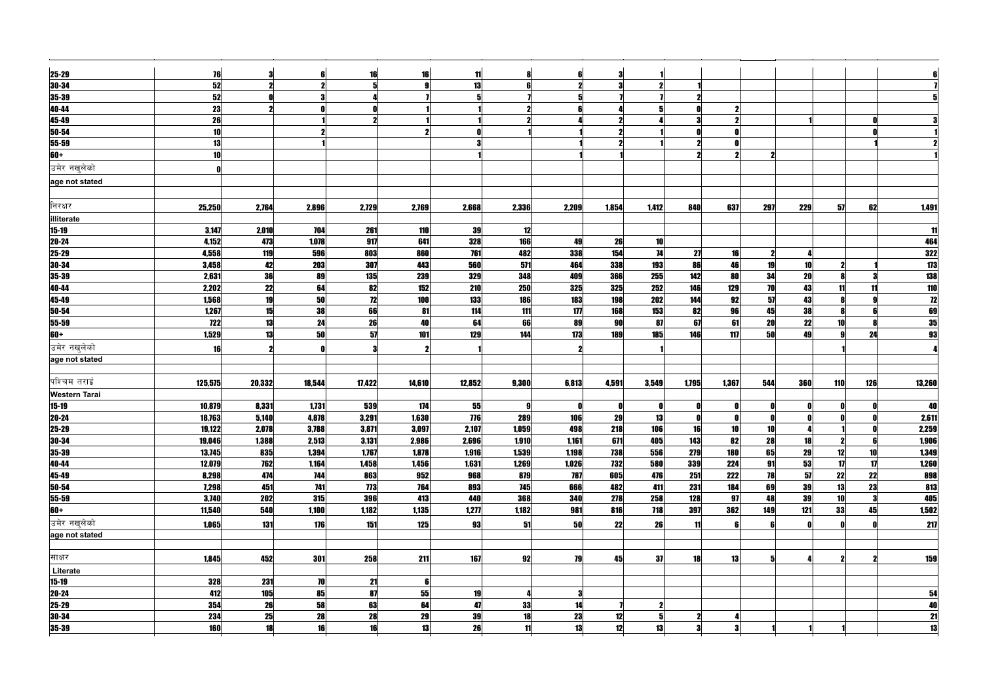| $25 - 29$            | 76         | -3         |            | 16         | 16     | 11     |            | 6            |            |            |                      |       |                 |           |                 |          |                                                           |
|----------------------|------------|------------|------------|------------|--------|--------|------------|--------------|------------|------------|----------------------|-------|-----------------|-----------|-----------------|----------|-----------------------------------------------------------|
| 30-34                | 52         |            |            |            |        | 13     |            |              |            |            |                      |       |                 |           |                 |          |                                                           |
| 35-39                | 52         |            |            |            |        |        |            |              |            |            |                      |       |                 |           |                 |          |                                                           |
| 40-44                | 23         |            |            |            |        |        |            |              |            |            |                      |       |                 |           |                 |          |                                                           |
| $45 - 49$            | 26         |            |            |            |        |        |            |              |            |            |                      |       |                 |           |                 |          |                                                           |
| $50 - 54$            | 10         |            |            |            |        |        |            |              |            |            |                      |       |                 |           |                 |          |                                                           |
| 55-59                | 13         |            |            |            |        |        |            |              |            |            |                      |       |                 |           |                 |          |                                                           |
| 60+                  | 10         |            |            |            |        |        |            |              |            |            |                      |       |                 |           |                 |          |                                                           |
| उमेर नखुलेको         |            |            |            |            |        |        |            |              |            |            |                      |       |                 |           |                 |          |                                                           |
| age not stated       |            |            |            |            |        |        |            |              |            |            |                      |       |                 |           |                 |          |                                                           |
|                      |            |            |            |            |        |        |            |              |            |            |                      |       |                 |           |                 |          |                                                           |
| निरक्षर              | 25,250     | 2,764      | 2,896      | 2,729      | 2,769  | 2,668  | 2,336      | 2,209        | 1,854      | 1,412      | 840                  | 637   | 297             | 229       | 57              | 62       | 1,491                                                     |
| illiterate           |            |            |            |            |        |        |            |              |            |            |                      |       |                 |           |                 |          |                                                           |
| $15-19$              | 3,147      | 2,010      | 704        | 261        | 110    | 39     | 12         |              |            |            |                      |       |                 |           |                 |          |                                                           |
| $20 - 24$            | 4,152      | 473        | 1,078      | 917        | 641    | 328    | 166        | 49           | 26         | 10         |                      |       |                 |           |                 |          | 464                                                       |
| $25 - 29$            | 4,558      | 119        | 596        | 803        | 860    | 761    | 482        | 338          | 154        | 74         | 27                   | 16    |                 |           |                 |          | <b>322</b>                                                |
| 30-34                | 3,458      | 42         | <b>203</b> | 307        | 443    | 560    | 571        | 464          | 338        | <b>193</b> | 86                   | 46    | 19              | 10        | 2               |          | $\overline{113}$                                          |
| 35-39                | 2,631      | 36         | 89         | <b>135</b> | 239    | 329    | 348        | 409          | <b>366</b> | 255        | 142                  | 80    | 34              | <b>20</b> | 8               |          | <b>138</b>                                                |
| $40 - 44$            | 2,202      | 22         | 64         | 82         | 152    | 210    | <b>250</b> | 325          | 325        | 252        | 146                  | 129   | 70              | 43        | 11              |          | <b>110</b>                                                |
| 45-49                | 1,568      | 19         | 50         | 12         | 100    | 133    | <b>186</b> | 183          | 198        | 202        | 144                  | 92    | 57              | 43        | 8               |          | $\overline{12}$                                           |
| $50 - 54$            | 1,267      | 15         | 38         | 66         | 81     | 114    | 111        | 177          | <b>168</b> | 153        | 82                   | 96    | 45              | 38        | 8               |          | 69                                                        |
| $55 - 59$            | <b>722</b> | 13         | 24         | 26         | 40     | 64     | 66         | 89           | 90         | 87         | $\overline{\bm{67}}$ | 61    | $\overline{20}$ | 22        | 10              |          | 35                                                        |
| 60+                  | 1,529      | 13         | 50         | 57         | 101    | 129    | 144        | 173          | <b>189</b> | <b>185</b> | 146                  | 117   | 50              | 49        | $\mathbf{Q}$    | 24       | 93                                                        |
| उमेर नखुलेको         | 16         |            |            |            |        |        |            | 2            |            |            |                      |       |                 |           |                 |          |                                                           |
| age not stated       |            |            |            |            |        |        |            |              |            |            |                      |       |                 |           |                 |          |                                                           |
|                      |            |            |            |            |        |        |            |              |            |            |                      |       |                 |           |                 |          |                                                           |
| पश्चिम तराई          | 125,575    | 20,332     | 18,544     | 17,422     | 14,610 | 12,852 | 9,300      | 6,813        | 4,591      | 3,549      | 1,795                | 1,367 | 544             | 360       | 110             | 126      | 13,260                                                    |
| <b>Western Tarai</b> |            |            |            |            |        |        |            |              |            |            |                      |       |                 |           |                 |          |                                                           |
| $15-19$              | 10,879     | 8,331      | 1,731      | 539        | 174    | 55     |            | $\mathbf{0}$ |            |            |                      |       |                 |           | $\mathbf 0$     |          | 40                                                        |
| $20 - 24$            | 18,763     | 5,140      | 4,878      | 3,291      | 1,630  | 776    | 289        | 106          | 29         | 13         |                      |       |                 |           | 0               |          | 2,611                                                     |
| 25-29                | 19,122     | 2,078      | 3,788      | 3,871      | 3,097  | 2,107  | 1,059      | 498          | 218        | <b>106</b> | 16                   | 10    | 10              |           |                 |          | 2,259                                                     |
| $30 - 34$            | 19,046     | 1,388      | 2,513      | 3,131      | 2,986  | 2,696  | 1,910      | 1,161        | 671        | 405        | 143                  | 82    | <b>28</b>       | <b>18</b> | $\mathbf{2}$    |          | 1,906                                                     |
| 35-39                | 13,745     | 835        | 1,394      | 1,767      | 1,878  | 1,916  | 1,539      | 1,198        | <b>738</b> | 556        | 279                  | 180   | 65              | 29        | 12              | 10       | 1,349                                                     |
| 40-44                | 12,079     | <b>762</b> | 1,164      | 1,458      | 1,456  | 1,631  | 1,269      | 1,026        | <b>732</b> | 580        | 339                  | 224   | 91              | 53        | $\overline{11}$ | 17       | 1,260                                                     |
| 45-49                | 8,298      | 474        | <b>744</b> | 863        | 952    | 968    | 879        | 787          | 605        | 476        | 251                  | 222   | 78              | 57        | 22              | 22       | 898                                                       |
| $50 - 54$            | 7,298      | 451        | <b>741</b> | <b>773</b> | 764    | 893    | 745        | 666          | 482        | 411        | 231                  | 184   | 69              | 39        | 13              | 23       | 813                                                       |
| 55-59                | 3,740      | 202        | 315        | 396        | 413    | 440    | 368        | 340          | 278        | 258        | 128                  | 97    | 48              | 39        | 10              | $\bf{3}$ | 405                                                       |
| 60+                  | 11,540     | 540        | 1,100      | 1,182      | 1,135  | 1,277  | 1,182      | 981          | 816        | 718        | 397                  | 362   | 149             | 121       | 33              | 45       | 1,502                                                     |
| उमेर नखुलेको         | 1,065      | 131        | 176        | 151        | 125    | 93     | 51         | 50           | 22         | 26         | 11                   |       | 6               |           | $\mathbf 0$     | n        | <b>217</b>                                                |
| age not stated       |            |            |            |            |        |        |            |              |            |            |                      |       |                 |           |                 |          |                                                           |
| साक्षर               | 1,845      | 452        | <b>301</b> | 258        | 211    | 167    | 92         | 79           | 45         | 37         | 18                   | 13    | 5               |           | $\mathbf 2$     |          | 159                                                       |
| Literate             |            |            |            |            |        |        |            |              |            |            |                      |       |                 |           |                 |          |                                                           |
| $15 - 19$            | 328        | 231        | 70         | 21         | ĥ      |        |            |              |            |            |                      |       |                 |           |                 |          |                                                           |
|                      | 412        | <b>105</b> | 85         | 87         | 55     | 19     |            | $\bf{3}$     |            |            |                      |       |                 |           |                 |          | 54                                                        |
| 20-24<br>25-29       | 354        | 26         | 58         | 63         | 64     | 47     | 33         | 14           |            |            |                      |       |                 |           |                 |          |                                                           |
| 30-34                | 234        | 25         | <b>28</b>  | <b>28</b>  | 29     | 39     | 18         | <b>23</b>    | 12         |            |                      |       |                 |           |                 |          | $\begin{array}{c}\n\hline\n40 \\ \hline\n21\n\end{array}$ |
| 35-39                | <b>160</b> | 18         | 16         | 16         | 13     | 26     | 11         | 13           | 12         | 13         |                      | 3     |                 |           |                 |          | 13                                                        |
|                      |            |            |            |            |        |        |            |              |            |            |                      |       |                 |           |                 |          |                                                           |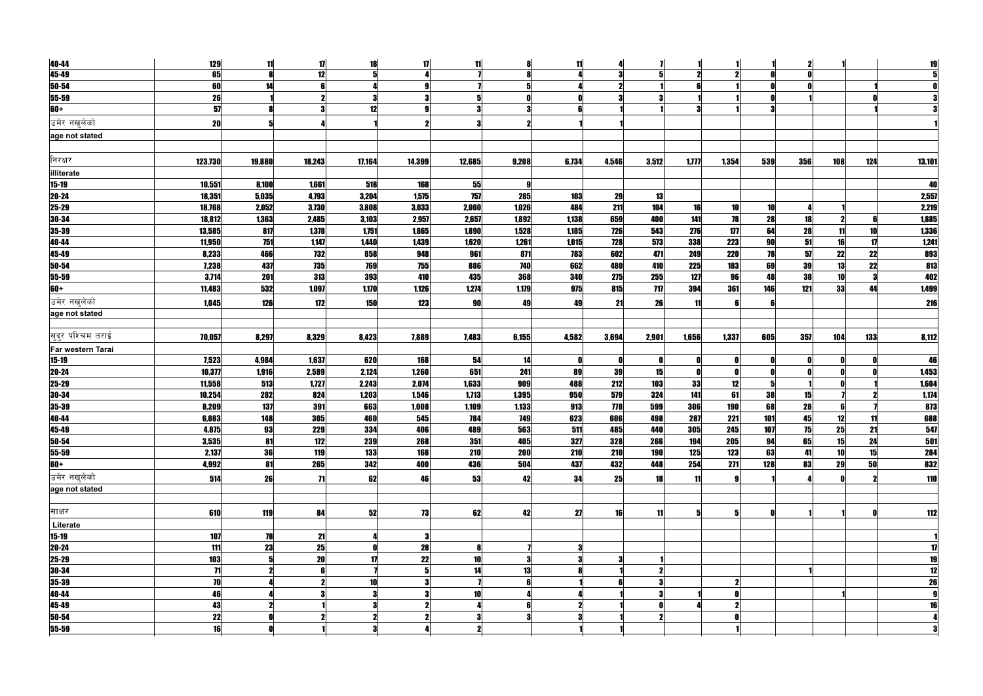| 40-44                     | 129             | 11         | 17     | 18     | 17        | 11          |            | 11           |            |            |              |            |           |           |                     |               | 19         |
|---------------------------|-----------------|------------|--------|--------|-----------|-------------|------------|--------------|------------|------------|--------------|------------|-----------|-----------|---------------------|---------------|------------|
| 45-49                     | 65              | - A        | 12     |        |           |             | 8          |              |            |            | $\mathbf{2}$ |            |           |           |                     |               |            |
| 50-54                     | 60              | 14         |        |        |           |             |            |              |            |            |              |            |           |           |                     |               |            |
| 55-59                     | 26              |            |        |        |           |             |            |              |            |            |              |            |           |           |                     |               |            |
| 60+                       | 57              |            |        | 12     |           | 3           |            |              |            |            |              |            |           |           |                     |               |            |
| उमेर नखुलेको              | 20              |            |        |        |           | 3           |            |              |            |            |              |            |           |           |                     |               |            |
| age not stated            |                 |            |        |        |           |             |            |              |            |            |              |            |           |           |                     |               |            |
|                           |                 |            |        |        |           |             |            |              |            |            |              |            |           |           |                     |               |            |
| निरक्षर                   | 123,730         | 19,880     | 18,243 | 17,164 | 14,399    | 12,685      | 9,208      | 6,734        | 4,546      | 3,512      | 1,777        | 1,354      | 539       | 356       | 108                 | 124           | 13,101     |
| illiterate                |                 |            |        |        |           |             |            |              |            |            |              |            |           |           |                     |               |            |
| $15 - 19$                 | 10,551          | 8,100      | 1,661  | 518    | 168       | 55          |            |              |            |            |              |            |           |           |                     |               | 40         |
| $20 - 24$                 | 18,351          | 5,035      | 4,793  | 3,204  | 1,575     | 757         | 285        | 103          | 29         | 13         |              |            |           |           |                     |               | 2,557      |
| $25 - 29$                 | 18,768          | 2,052      | 3,730  | 3,808  | 3,033     | 2,060       | 1,026      | 484          | 211        | 104        | 16           | 10         | 10        |           |                     |               | 2,219      |
| 30-34                     | 18,812          | 1,363      | 2,485  | 3,103  | 2,957     | 2,657       | 1,892      | 1,138        | 659        | 400        | 141          | 78         | <b>28</b> | 18        | $\boldsymbol{\eta}$ |               | 1,885      |
| 35-39                     | 13,585          | 817        | 1,378  | 1,751  | 1,865     | 1,890       | 1,528      | 1,185        | 726        | 543        | 276          | 177        | 64        | 28        | 11                  | 10            | 1,336      |
| 40-44                     | 11,950          | 751        | 1,147  | 1,440  | 1,439     | 1,620       | 1,261      | 1,015        | <b>728</b> | 573        | 338          | 223        | <b>90</b> | 51        | 16                  | $\mathbf{17}$ | 1,241      |
| 45-49                     | 8,233           | 466        | 732    | 858    | 948       | 961         | 871        | 783          | 602        | 471        | 249          | <b>220</b> | 78        | 57        | $\overline{22}$     | 22            | 893        |
| 50-54                     | 7,238           | 437        | 735    | 769    | 755       | 886         | 740        | 662          | 480        | 410        | 225          | 183        | 69        | 39        | 13                  | 22            | 813        |
| 55-59                     | 3,714           | <b>201</b> | 313    | 393    | 410       | 435         | 368        | 340          | 275        | 255        | $127$        | 96         | 48        | 38        | 10                  |               | 402        |
| 60+                       | 11,483          | 532        | 1,097  | 1,170  | 1,126     | 1,274       | 1,179      | 975          | 815        | 717        | 394          | 361        | 146       | 121       | 33                  | 44            | 1,499      |
| उमेर नखुलेको              | 1,045           | 126        | 172    | 150    | 123       | 90          | 49         | 49           | 21         | 26         | 11           |            |           |           |                     |               | <b>216</b> |
| age not stated            |                 |            |        |        |           |             |            |              |            |            |              |            |           |           |                     |               |            |
| <u>सुदुर प</u> श्चिम तराई | 70,057          | 8,297      | 8,329  | 8,423  | 7,889     | 7,483       | 6,155      | 4,582        | 3,694      | 2,901      | 1,656        | 1,337      | 605       | 357       | 104                 | 133           | 8,112      |
| Far western Tarai         |                 |            |        |        |           |             |            |              |            |            |              |            |           |           |                     |               |            |
| $15 - 19$                 | 7,523           | 4,984      | 1,637  | 620    | 168       | 54          | 14         | $\mathbf{0}$ |            |            | 0            |            |           |           | $\mathbf{r}$        |               | 46         |
| 20-24                     | 10,377          | 1,916      | 2,589  | 2,124  | 1,260     | 651         | 241        | 89           | 39         | 15         | $\mathbf{0}$ |            |           |           |                     |               | 1,453      |
| 25-29                     | 11,558          | 513        | 1,727  | 2,243  | 2,074     | 1,633       | 909        | 488          | 212        | 103        | 33           | 12         |           |           |                     |               | 1,604      |
| 30-34                     | 10,254          | 282        | 824    | 1,203  | 1,546     | 1,713       | 1,395      | <b>950</b>   | 579        | 324        | 141          | 61         | 38        | 15        |                     |               | 1,174      |
| 35-39                     | 8,209           | 137        | 391    | 663    | 1,008     | 1,109       | 1,133      | 913          | <b>778</b> | 599        | 306          | <b>190</b> | 68        | <b>28</b> | $\boldsymbol{6}$    |               | 873        |
| 40-44                     | 6,083           | 148        | 305    | 460    | 545       | 784         | <b>749</b> | 623          | 606        | 498        | 287          | 221        | 101       | 45        | 12                  | 11            | 688        |
| 45-49                     | 4,875           | 93         | 229    | 334    | 406       | 489         | 563        | 511          | 485        | 440        | 305          | 245        | 107       | 75        | $\overline{25}$     | 21            | 547        |
| 50-54                     | 3,535           | 81         | 172    | 239    | 268       | 351         | 405        | 327          | 328        | 266        | 194          | 205        | 94        | 65        | 15                  | 24            | 501        |
| $55 - 59$                 | 2,137           | 36         | 119    | 133    | 168       | 210         | 200        | <b>210</b>   | 210        | <b>190</b> | 125          | 123        | 63        | 41        | 10                  | 15            | 284        |
| 60+                       | 4,992           | 81         | 265    | 342    | 400       | 436         | 504        | 437          | 432        | 448        | 254          | <b>271</b> | 128       | 83        | 29                  | 50            | 832        |
| उमेर नखुलेको              | 514             | 26         | 71     | 62     | 46        | 53          | 42         | 34           | 25         | 18         | 11           |            |           |           |                     |               | <b>110</b> |
| age not stated            |                 |            |        |        |           |             |            |              |            |            |              |            |           |           |                     |               |            |
| साक्षर                    | 610             | 119        |        | 52     | 73        |             |            | 27           |            |            |              |            |           |           |                     |               |            |
| Literate                  |                 |            | 84     |        |           | 62          | 42         |              | 16         | 11         | $\mathbf{5}$ |            |           |           |                     |               | 112        |
| $15 - 19$                 | 107             | 78         | 21     |        |           |             |            |              |            |            |              |            |           |           |                     |               |            |
| $20 - 24$                 | 111             | 23         | 25     |        | <b>28</b> |             |            |              |            |            |              |            |           |           |                     |               | 17         |
| $25 - 29$                 | <b>103</b>      |            | 20     |        | 22        | 10          |            |              |            |            |              |            |           |           |                     |               | 19         |
| 30-34                     | $\overline{11}$ |            |        |        |           | 14          | 13         |              |            |            |              |            |           |           |                     |               | 12         |
| 35-39                     | 70              |            |        | 10     |           |             |            |              |            |            |              |            |           |           |                     |               | 26         |
| $40 - 44$                 | 46              |            |        |        |           | 10          |            |              |            |            |              |            |           |           |                     |               |            |
| 45-49                     | 43              |            |        |        |           |             |            |              |            |            |              |            |           |           |                     |               | 16         |
| $50 - 54$                 | 22              |            |        |        |           |             | 3          |              |            |            |              |            |           |           |                     |               |            |
| $55 - 59$                 | 16              |            |        |        |           | $\mathbf 2$ |            |              |            |            |              |            |           |           |                     |               |            |
|                           |                 |            |        |        |           |             |            |              |            |            |              |            |           |           |                     |               |            |